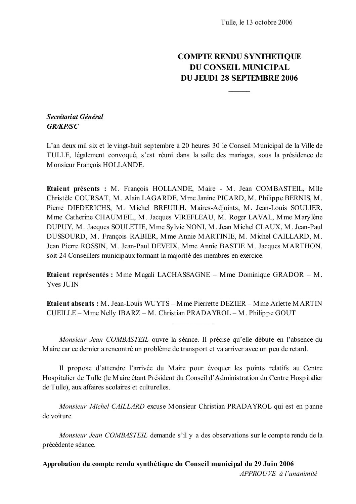# **COMPTE RENDU SYNTHETIQUE DU CONSEIL MUNICIPAL DU JEUDI 28 SEPTEMBRE 2006**

## Secrétariat Général **GR/KP/SC**

L'an deux mil six et le vingt-huit septembre à 20 heures 30 le Conseil Municipal de la Ville de TULLE, légalement convoqué, s'est réuni dans la salle des mariages, sous la présidence de Monsieur Francois HOLLANDE.

Etaient présents : M. François HOLLANDE, Maire - M. Jean COMBASTEIL, Mlle Christèle COURSAT, M. Alain LAGARDE, M me Janine PICARD, M. Philippe BERNIS, M. Pierre DIEDERICHS, M. Michel BREUILH, Maires-Adjoints, M. Jean-Louis SOULIER, Mme Catherine CHAUMEIL, M. Jacques VIREFLEAU, M. Roger LAVAL, Mme Marylène DUPUY, M. Jacques SOULETIE, Mme Sylvie NONI, M. Jean Michel CLAUX, M. Jean-Paul DUSSOURD, M. François RABIER, Mme Annie MARTINIE, M. Michel CAILLARD, M. Jean Pierre ROSSIN, M. Jean-Paul DEVEIX, Mme Annie BASTIE M. Jacques MARTHON, soit 24 Conseillers municipaux formant la majorité des membres en exercice.

Etaient représentés : Mme Magali LACHASSAGNE – Mme Dominique GRADOR – M. **Yves JUIN** 

**Etaient absents:** M. Jean-Louis WUYTS – M me Pierrette DEZIER – M me Arlette MARTIN CUEILLE - Mme Nelly IBARZ - M. Christian PRADAYROL - M. Philippe GOUT

Monsieur Jean COMBASTEIL ouvre la séance. Il précise qu'elle débute en l'absence du Maire car ce dernier a rencontré un problème de transport et va arriver avec un peu de retard.

Il propose d'attendre l'arrivée du Maire pour évoquer les points relatifs au Centre Hospitalier de Tulle (le Maire étant Président du Conseil d'Administration du Centre Hospitalier de Tulle), aux affaires scolaires et culturelles.

Monsieur Michel CAILLARD excuse Monsieur Christian PRADAYROL qui est en panne de voiture

Monsieur Jean COMBASTEIL demande s'il y a des observations sur le compte rendu de la précédente séance.

Approbation du compte rendu synthétique du Conseil municipal du 29 Juin 2006

APPROUVE à l'unanimité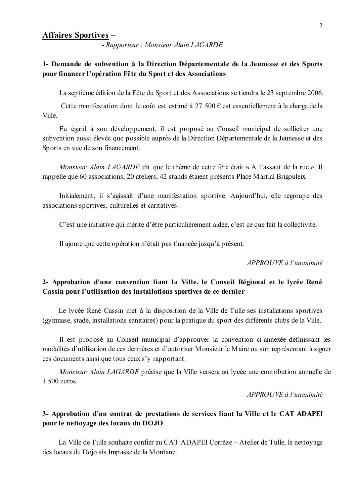#### **Affaires Sportives -**

- Rapporteur: Monsieur Alain LAGARDE

### 1- Demande de subvention à la Direction Départementale de la Jeunesse et des Sports pour financer l'opération Fête du Sport et des Associations

La septième édition de la Fête du Sport et des Associations se tiendra le 23 septembre 2006.

Cette manifestation dont le coût est estimé à 27 500 € est essentiellement à la charge de la Ville.

Eu égard à son développement, il est proposé au Conseil municipal de solliciter une subvention aussi élevée que possible auprès de la Direction Départementale de la Jeunesse et des Sports en vue de son financement.

Monsieur Alain LAGARDE dit que le thème de cette fête était « A l'assaut de la rue ». Il rappelle que 60 associations, 20 ateliers, 42 stands étaient présents Place Martial Brigouleix.

Initialement, il s'agissait d'une manifestation sportive. Aujourd'hui, elle regroupe des associations sportives, culturelles et caritatives.

C'est une initiative qui mérite d'être particulièrement aidée, c'est ce que fait la collectivité.

Il ajoute que cette opération n'était pas financée jusqu'à présent.

### APPROUVE à l'unanimité

### 2- Approbation d'une convention liant la Ville, le Conseil Régional et le lycée René Cassin pour l'utilisation des installations sportives de ce dernier

Le lycée René Cassin met à la disposition de la Ville de Tulle ses installations sportives (gymnase, stade, installations sanitaires) pour la pratique du sport des différents clubs de la Ville.

Il est proposé au Conseil municipal d'approuver la convention ci-annexée définissant les modalités d'utilisation de ces dernières et d'autoriser Monsieur le Maire ou son représentant à signer ces documents ainsi que tous ceux s'y rapportant.

Monsieur Alain LAGARDE précise que la Ville versera au lycée une contribution annuelle de 1 500 euros.

APPROUVE à l'unanimité

### 3- Approbation d'un contrat de prestations de services liant la Ville et le CAT ADAPEI pour le nettovage des locaux du DOJO

La Ville de Tulle souhaite confier au CAT ADAPEI Corrèze – Atelier de Tulle, le nettovage des locaux du Dojo sis Impasse de la Montane.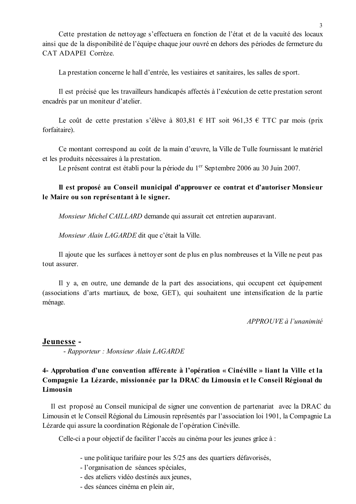Cette prestation de nettoyage s'effectuera en fonction de l'état et de la vacuité des locaux ainsi que de la disponibilité de l'équipe chaque jour ouvré en dehors des périodes de fermeture du CAT ADAPEI Corrèze.

La prestation concerne le hall d'entrée, les vestiaires et sanitaires, les salles de sport.

Il est précisé que les travailleurs handicapés affectés à l'exécution de cette prestation seront encadrés par un moniteur d'atelier.

Le coût de cette prestation s'élève à 803,81 € HT soit 961,35 € TTC par mois (prix forfaitaire).

Ce montant correspond au coût de la main d'œuvre, la Ville de Tulle fournissant le matériel et les produits nécessaires à la prestation.

Le présent contrat est établi pour la période du 1<sup>er</sup> Septembre 2006 au 30 Juin 2007.

### Il est proposé au Conseil municipal d'approuver ce contrat et d'autoriser Monsieur le Maire ou son représentant à le signer.

Monsieur Michel CAILLARD demande qui assurait cet entretien auparavant.

Monsieur Alain LAGARDE dit que c'était la Ville.

Il ajoute que les surfaces à nettoyer sont de plus en plus nombreuses et la Ville ne peut pas tout assurer.

Il y a, en outre, une demande de la part des associations, qui occupent cet équipement (associations d'arts martiaux, de boxe, GET), qui souhaitent une intensification de la partie ménage.

APPROUVE à l'unanimité

#### Jeunesse -

- Rapporteur : Monsieur Alain LAGARDE

## 4- Approbation d'une convention afférente à l'opération « Cinéville » liant la Ville et la Compagnie La Lézarde, missionnée par la DRAC du Limousin et le Conseil Régional du Limousin

Il est proposé au Conseil municipal de signer une convention de partenariat avec la DRAC du Limousin et le Conseil Régional du Limousin représentés par l'association loi 1901, la Compagnie La Lézarde qui assure la coordination Régionale de l'opération Cinéville.

Celle-ci a pour objectif de faciliter l'accès au cinéma pour les jeunes grâce à :

- une politique tarifaire pour les 5/25 ans des quartiers défavorisés,
- l'organisation de séances spéciales,
- des ateliers vidéo destinés aux jeunes.
- des séances cinéma en plein air,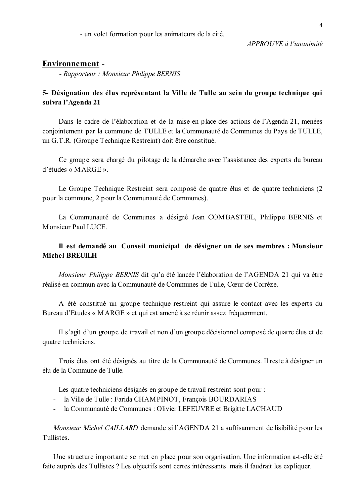- un volet formation pour les animateurs de la cité.

 $APPROUVE \d{d} l'unanimit \d{e}$ 

### **Environnement -**

- Rapporteur : Monsieur Philippe BERNIS

### 5- Désignation des élus représentant la Ville de Tulle au sein du groupe technique qui suivra l'Agenda 21

Dans le cadre de l'élaboration et de la mise en place des actions de l'Agenda 21, menées conjointement par la commune de TULLE et la Communauté de Communes du Pays de TULLE, un G.T.R. (Groupe Technique Restreint) doit être constitué.

Ce groupe sera chargé du pilotage de la démarche avec l'assistance des experts du bureau  $d'$ études « MARGE ».

Le Groupe Technique Restreint sera composé de quatre élus et de quatre techniciens (2) pour la commune, 2 pour la Communauté de Communes).

La Communauté de Communes a désigné Jean COMBASTEIL, Philippe BERNIS et Monsieur Paul LUCE

## Il est demandé au Conseil municipal de désigner un de ses membres : Monsieur **Michel BREUILH**

Monsieur Philippe BERNIS dit qu'a été lancée l'élaboration de l'AGENDA 21 qui va être réalisé en commun avec la Communauté de Communes de Tulle, Cœur de Corrèze.

A été constitué un groupe technique restreint qui assure le contact avec les experts du Bureau d'Etudes « MARGE » et qui est amené à se réunir assez fréquemment.

Il s'agit d'un groupe de travail et non d'un groupe décisionnel composé de quatre élus et de quatre techniciens.

Trois élus ont été désignés au titre de la Communauté de Communes. Il reste à désigner un élu de la Commune de Tulle.

Les quatre techniciens désignés en groupe de travail restreint sont pour :

- la Ville de Tulle : Farida CHAMPINOT, François BOURDARIAS
- la Communauté de Communes : Olivier LEFEUVRE et Brigitte LACHAUD

Monsieur Michel CAILLARD demande si l'AGENDA 21 a suffisamment de lisibilité pour les Tullistes

Une structure importante se met en place pour son organisation. Une information a-t-elle été faite auprès des Tullistes ? Les objectifs sont certes intéressants mais il faudrait les expliquer.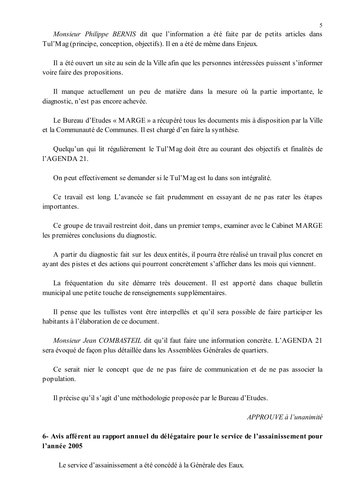Monsieur Philippe BERNIS dit que l'information a été faite par de petits articles dans Tul'Mag (principe, conception, objectifs). Il en a été de même dans Enjeux.

Il a été ouvert un site au sein de la Ville afin que les personnes intéressées puissent s'informer voire faire des propositions.

Il manque actuellement un peu de matière dans la mesure où la partie importante, le diagnostic, n'est pas encore achevée.

Le Bureau d'Etudes « MARGE » a récupéré tous les documents mis à disposition par la Ville et la Communauté de Communes. Il est chargé d'en faire la synthèse.

Ouelqu'un qui lit régulièrement le Tul'Mag doit être au courant des objectifs et finalités de  $1'AGENDA 21.$ 

On peut effectivement se demander si le Tul'Mag est lu dans son intégralité.

Ce travail est long. L'avancée se fait prudemment en essayant de ne pas rater les étapes importantes.

Ce groupe de travail restreint doit, dans un premier temps, examiner avec le Cabinet MARGE les premières conclusions du diagnostic.

A partir du diagnostic fait sur les deux entités, il pourra être réalisé un travail plus concret en ayant des pistes et des actions qui pourront concrètement s'afficher dans les mois qui viennent.

La fréquentation du site démarre très doucement. Il est apporté dans chaque bulletin municipal une petite touche de renseignements supplémentaires.

Il pense que les tullistes vont être interpellés et qu'il sera possible de faire participer les habitants à l'élaboration de ce document.

*Monsieur Jean COMBASTEIL* dit qu'il faut faire une information concrète. L'AGENDA 21 sera évoqué de façon plus détaillée dans les Assemblées Générales de quartiers.

Ce serait nier le concept que de ne pas faire de communication et de ne pas associer la population.

Il précise qu'il s'agit d'une méthodologie proposée par le Bureau d'Etudes.

 $APPROIIVE$ à l'unanimité

### 6- Avis afférent au rapport annuel du délégataire pour le service de l'assainissement pour l'année 2005

Le service d'assainissement a été concédé à la Générale des Eaux.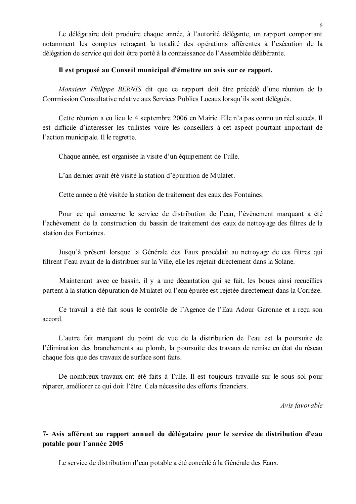Le délégataire doit produire chaque année, à l'autorité délégante, un rapport comportant notamment les comptes retraçant la totalité des opérations afférentes à l'exécution de la délégation de service qui doit être porté à la connaissance de l'Assemblée délibérante.

#### Il est proposé au Conseil municipal d'émettre un avis sur ce rapport.

Monsieur Philippe BERNIS dit que ce rapport doit être précédé d'une réunion de la Commission Consultative relative aux Services Publics Locaux lorsqu'ils sont délégués.

Cette réunion a eu lieu le 4 septembre 2006 en Mairie. Elle n'a pas connu un réel succès. Il est difficile d'intéresser les tullistes voire les conseillers à cet aspect pourtant important de l'action municipale. Il le regrette.

Chaque année, est organisée la visite d'un équipement de Tulle.

L'an dernier avait été visité la station d'épuration de Mulatet.

Cette année a été visitée la station de traitement des eaux des Fontaines.

Pour ce qui concerne le service de distribution de l'eau. l'évènement marquant a été l'achèvement de la construction du bassin de traitement des eaux de nettovage des filtres de la station des Fontaines.

Jusqu'à présent lorsque la Générale des Eaux procédait au nettoyage de ces filtres qui filtrent l'eau avant de la distribuer sur la Ville, elle les rejetait directement dans la Solane.

Maintenant avec ce bassin, il y a une décantation qui se fait, les boues ainsi recueillies partent à la station dépuration de Mulatet où l'eau épurée est rejetée directement dans la Corrèze.

Ce travail a été fait sous le contrôle de l'Agence de l'Eau Adour Garonne et a reçu son accord

L'autre fait marquant du point de vue de la distribution de l'eau est la poursuite de l'élimination des branchements au plomb, la poursuite des travaux de remise en état du réseau chaque fois que des travaux de surface sont faits.

De nombreux travaux ont été faits à Tulle. Il est toujours travaillé sur le sous sol pour réparer, améliorer ce qui doit l'être. Cela nécessite des efforts financiers.

Avis favorable

### 7- Avis afférent au rapport annuel du délégataire pour le service de distribution d'eau potable pour l'année 2005

Le service de distribution d'eau potable a été concédé à la Générale des Eaux.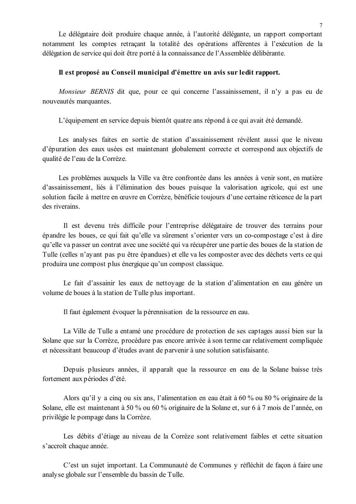Le délégataire doit produire chaque année, à l'autorité délégante, un rapport comportant notamment les comptes retraçant la totalité des opérations afférentes à l'exécution de la délégation de service qui doit être porté à la connaissance de l'Assemblée délibérante.

#### Il est proposé au Conseil municipal d'émettre un avis sur ledit rapport.

Monsieur BERNIS dit que, pour ce qui concerne l'assainissement, il n'y a pas eu de nouveautés marquantes.

L'équipement en service depuis bientôt quatre ans répond à ce qui avait été demandé.

Les analyses faites en sortie de station d'assainissement révèlent aussi que le niveau d'épuration des eaux usées est maintenant globalement correcte et correspond aux objectifs de qualité de l'eau de la Corrèze.

Les problèmes auxquels la Ville va être confrontée dans les années à venir sont, en matière d'assainissement, liés à l'élimination des boues puisque la valorisation agricole, qui est une solution facile à mettre en œuvre en Corrèze, bénéficie toujours d'une certaine réticence de la part des riverains.

Il est devenu très difficile pour l'entreprise délégataire de trouver des terrains pour épandre les boues, ce qui fait qu'elle va sûrement s'orienter vers un co-compostage c'est à dire qu'elle va passer un contrat avec une société qui va récupérer une partie des boues de la station de Tulle (celles n'ayant pas pu être épandues) et elle va les composter avec des déchets verts ce qui produira une compost plus énergique qu'un compost classique.

Le fait d'assainir les eaux de nettoyage de la station d'alimentation en eau génère un volume de boues à la station de Tulle plus important.

Il faut également évoquer la pérennisation de la ressource en eau.

La Ville de Tulle a entamé une procédure de protection de ses captages aussi bien sur la Solane que sur la Corrèze, procédure pas encore arrivée à son terme car relativement compliquée et nécessitant beaucoup d'études avant de parvenir à une solution satisfaisante.

Depuis plusieurs années, il apparaît que la ressource en eau de la Solane baisse très fortement aux périodes d'été.

Alors qu'il y a cinq ou six ans, l'alimentation en eau était à 60 % ou 80 % originaire de la Solane, elle est maintenant à 50 % ou 60 % originaire de la Solane et, sur 6 à 7 mois de l'année, on privilégie le pompage dans la Corrèze.

Les débits d'étiage au niveau de la Corrèze sont relativement faibles et cette situation s'accroît chaque année.

C'est un sujet important. La Communauté de Communes y réfléchit de façon à faire une analyse globale sur l'ensemble du bassin de Tulle.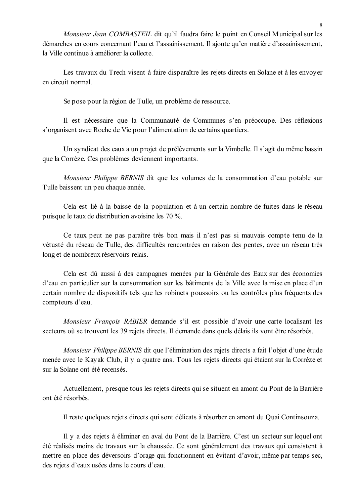Monsieur Jean COMBASTEIL dit qu'il faudra faire le point en Conseil Municipal sur les démarches en cours concernant l'eau et l'assainissement. Il ajoute qu'en matière d'assainissement, la Ville continue à améliorer la collecte.

Les travaux du Trech visent à faire disparaître les rejets directs en Solane et à les envoyer en circuit normal.

Se pose pour la région de Tulle, un problème de ressource.

Il est nécessaire que la Communauté de Communes s'en préoccupe. Des réflexions s'organisent avec Roche de Vic pour l'alimentation de certains quartiers.

Un syndicat des eaux a un projet de prélèvements sur la Vimbelle. Il s'agit du même bassin que la Corrèze. Ces problèmes deviennent importants.

*Monsieur Philippe BERNIS* dit que les volumes de la consommation d'eau potable sur Tulle baissent un peu chaque année.

Cela est lié à la baisse de la population et à un certain nombre de fuites dans le réseau puisque le taux de distribution avoisine les 70 %.

Ce taux peut ne pas paraître très bon mais il n'est pas si mauvais compte tenu de la vétusté du réseau de Tulle, des difficultés rencontrées en raison des pentes, avec un réseau très long et de nombreux réservoirs relais.

Cela est dû aussi à des campagnes menées par la Générale des Eaux sur des économies d'eau en particulier sur la consommation sur les bâtiments de la Ville avec la mise en place d'un certain nombre de dispositifs tels que les robinets poussoirs ou les contrôles plus fréquents des compteurs d'eau.

Monsieur François RABIER demande s'il est possible d'avoir une carte localisant les secteurs où se trouvent les 39 rejets directs. Il demande dans quels délais ils vont être résorbés.

Monsieur Philippe BERNIS dit que l'élimination des rejets directs a fait l'objet d'une étude menée avec le Kayak Club, il y a quatre ans. Tous les rejets directs qui étaient sur la Corrèze et sur la Solane ont été recensés.

Actuellement, presque tous les rejets directs qui se situent en amont du Pont de la Barrière ont été résorbés

Il reste quelques rejets directs qui sont délicats à résorber en amont du Quai Continsouza.

Il y a des rejets à éliminer en aval du Pont de la Barrière. C'est un secteur sur lequel ont été réalisés moins de travaux sur la chaussée. Ce sont généralement des travaux qui consistent à mettre en place des déversoirs d'orage qui fonctionnent en évitant d'avoir, même par temps sec, des rejets d'eaux usées dans le cours d'eau.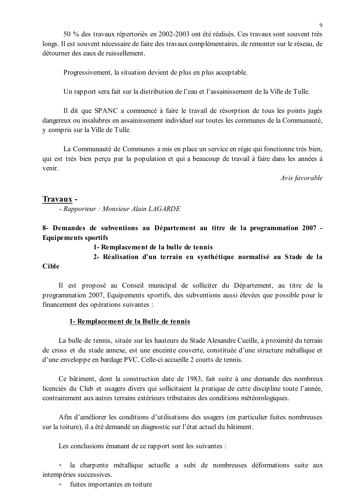50 % des travaux répertoriés en 2002-2003 ont été réalisés. Ces travaux sont souvent très longs. Il est souvent nécessaire de faire des travaux complémentaires, de remonter sur le réseau, de détourner des eaux de ruissellement.

Progressivement, la situation devient de plus en plus acceptable.

Un rapport sera fait sur la distribution de l'eau et l'assainissement de la Ville de Tulle.

Il dit que SPANC a commencé à faire le travail de résorption de tous les points jugés dangereux ou insalubres en assainissement individuel sur toutes les communes de la Communauté, y compris sur la Ville de Tulle.

La Communauté de Communes a mis en place un service en régie qui fonctionne très bien, qui est très bien perçu par la population et qui a beaucoup de travail à faire dans les années à venir

Avis favorable

#### Travaux -

- Rapporteur : Monsieur Alain LAGARDE

8- Demandes de subventions au Département au titre de la programmation 2007 -**Equipements sportifs** 

1- Remplacement de la bulle de tennis

2- Réalisation d'un terrain en synthétique normalisé au Stade de la

#### **Cible**

Il est proposé au Conseil municipal de solliciter du Département, au titre de la programmation 2007, Equipements sportifs, des subventions aussi élevées que possible pour le financement des opérations suivantes :

#### 1- Remplacement de la Bulle de tennis

La bulle de tennis, située sur les hauteurs du Stade Alexandre Cueille, à proximité du terrain de cross et du stade annexe, est une enceinte couverte, constituée d'une structure métallique et d'une enveloppe en bardage PVC. Celle-ci accueille 2 courts de tennis.

Ce bâtiment, dont la construction date de 1983, fait suite à une demande des nombreux licenciés du Club et usagers divers qui sollicitaient la pratique de cette discipline toute l'année, contrairement aux autres terrains extérieurs tributaires des conditions météorologiques.

Afin d'améliorer les conditions d'utilisations des usagers (en particulier fuites nombreuses sur la toiture), il a été demandé un diagnostic sur l'état actuel du bâtiment.

Les conclusions émanant de ce rapport sont les suivantes :

 $\frac{1}{2}$ la charpente métallique actuelle a subi de nombreuses déformations suite aux intempéries successives.

fuites importantes en toiture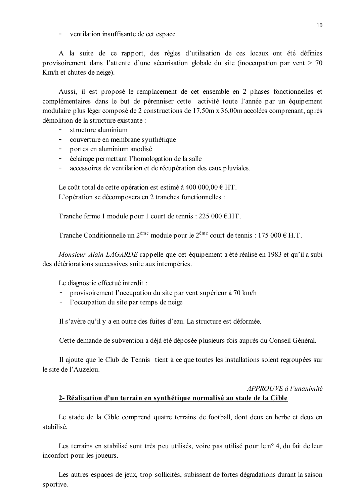- ventilation insuffisante de cet espace

A la suite de ce rapport, des règles d'utilisation de ces locaux ont été définies provisoirement dans l'attente d'une sécurisation globale du site (inoccupation par vent  $> 70$ Km/h et chutes de neige).

Aussi, il est proposé le remplacement de cet ensemble en 2 phases fonctionnelles et complémentaires dans le but de pérenniser cette activité toute l'année par un équipement modulaire plus léger composé de 2 constructions de 17,50m x 36,00m accolées comprenant, après démolition de la structure existante :

- structure aluminium
- couverture en membrane synthétique
- portes en aluminium anodisé
- éclairage permettant l'homologation de la salle
- accessoires de ventilation et de récupération des eaux pluviales.  $\sim$   $^{-1}$

Le coût total de cette opération est estimé à 400 000,00  $\in$  HT. L'opération se décomposera en 2 tranches fonctionnelles :

Tranche ferme 1 module pour 1 court de tennis :  $225\,000\, \text{E.}$ HT.

Tranche Conditionnelle un  $2^{eme}$  module pour le  $2^{eme}$  court de tennis : 175 000 € H.T.

Monsieur Alain LAGARDE rappelle que cet équipement a été réalisé en 1983 et qu'il a subi des détériorations successives suite aux intempéries.

Le diagnostic effectué interdit :

- $\sim$ provisoirement l'occupation du site par vent supérieur à 70 km/h
- l'occupation du site par temps de neige

Il s'avère qu'il y a en outre des fuites d'eau. La structure est déformée.

Cette demande de subvention a déjà été déposée plusieurs fois auprès du Conseil Général.

Il ajoute que le Club de Tennis tient à ce que toutes les installations soient regroupées sur le site de l'Auzelou.

### APPROUVE à l'unanimité 2- Réalisation d'un terrain en synthétique normalisé au stade de la Cible

Le stade de la Cible comprend quatre terrains de football, dont deux en herbe et deux en stabilisé

Les terrains en stabilisé sont très peu utilisés, voire pas utilisé pour le n° 4, du fait de leur inconfort pour les joueurs.

Les autres espaces de jeux, trop sollicités, subissent de fortes dégradations durant la saison sportive.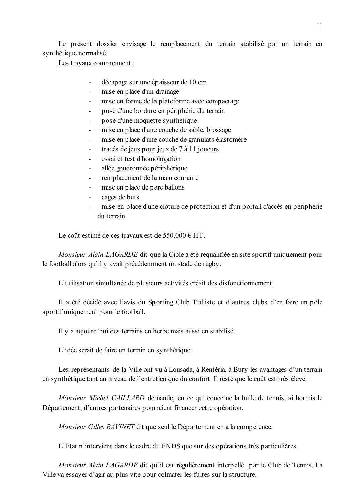Le présent dossier envisage le remplacement du terrain stabilisé par un terrain en synthétique normalisé.

Les travaux comprennent :

- décapage sur une épaisseur de 10 cm  $\mathbf{r}$
- mise en place d'un drainage  $\mathbf{r}$
- mise en forme de la plateforme avec compactage
- pose d'une bordure en périphérie du terrain
- pose d'une moquette synthétique
- mise en place d'une couche de sable, brossage
- mise en place d'une couche de granulats élastomère
- tracés de jeux pour jeux de 7 à 11 joueurs  $\Delta \phi$
- essai et test d'homologation  $\sim$
- allée goudronnée périphérique
- remplacement de la main courante
- mise en place de pare ballons
- cages de buts
- mise en place d'une clôture de protection et d'un portail d'accès en périphérie du terrain

Le coût estimé de ces travaux est de 550 000  $\epsilon$  HT

Monsieur Alain LAGARDE dit que la Cible a été requalifiée en site sportif uniquement pour le football alors qu'il y avait précédemment un stade de rugby.

L'utilisation simultanée de plusieurs activités créait des disfonctionnement.

Il a été décidé avec l'avis du Sporting Club Tulliste et d'autres clubs d'en faire un pôle sportif uniquement pour le football.

Il y a aujourd'hui des terrains en herbe mais aussi en stabilisé.

L'idée serait de faire un terrain en synthétique.

Les représentants de la Ville ont vu à Lousada, à Rentéria, à Bury les avantages d'un terrain en synthétique tant au niveau de l'entretien que du confort. Il reste que le coût est très élevé.

Monsieur Michel CAILLARD demande, en ce qui concerne la bulle de tennis, si hormis le Département, d'autres partenaires pourraient financer cette opération.

Monsieur Gilles RAVINET dit que seul le Département en a la compétence.

L'Etat n'intervient dans le cadre du FNDS que sur des opérations très particulières.

Monsieur Alain LAGARDE dit qu'il est régulièrement interpellé par le Club de Tennis. La Ville va essayer d'agir au plus vite pour colmater les fuites sur la structure.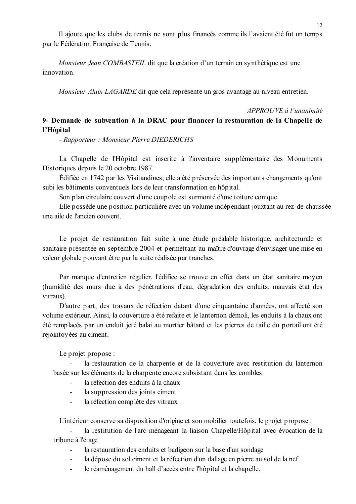Il ajoute que les clubs de tennis ne sont plus financés comme ils l'avaient été fut un temps par le Fédération Française de Tennis.

Monsieur Jean COMBASTEIL dit que la création d'un terrain en synthétique est une innovation

Monsieur Alain LAGARDE dit que cela représente un gros avantage au niveau entretien.

#### $APPROIIVE$  à l'unanimité

## 9- Demande de subvention à la DRAC pour financer la restauration de la Chapelle de l'Hôpital

- Rapporteur: Monsieur Pierre DIEDERICHS

La Chapelle de l'Hôpital est inscrite à l'inventaire supplémentaire des Monuments Historiques depuis le 20 octobre 1987.

Édifiée en 1742 par les Visitandines, elle a été préservée des importants changements qu'ont subi les bâtiments conventuels lors de leur transformation en hôpital.

Son plan circulaire couvert d'une coupole est surmonté d'une toiture conique.

Elle possède une position particulière avec un volume indépendant jouxtant au rez-de-chaussée une aile de l'ancien couvent.

Le projet de restauration fait suite à une étude préalable historique, architecturale et sanitaire présentée en septembre 2004 et permettant au maître d'ouvrage d'envisager une mise en valeur globale pouvant être par la suite réalisée par tranches.

Par manque d'entretien régulier, l'édifice se trouve en effet dans un état sanitaire moyen (humidité des murs due à des pénétrations d'eau, dégradation des enduits, mauvais état des vitraux).

D'autre part, des travaux de réfection datant d'une cinquantaine d'années, ont affecté son volume extérieur. Ainsi, la couverture a été refaite et le lanternon démoli, les enduits à la chaux ont été remplacés par un enduit jeté balai au mortier bâtard et les pierres de taille du portail ont été rejointoyées au ciment.

Le projet propose :

la restauration de la charpente et de la couverture avec restitution du lanternon basée sur les éléments de la charpente encore subsistant dans les combles.

- la réfection des enduits à la chaux
- la suppression des joints ciment  $\mathbf{L}^{\text{max}}$
- $\mathbf{L}^{\text{max}}$ la réfection complète des vitraux.

L'intérieur conserve sa disposition d'origine et son mobilier toutefois, le projet propose :

la restitution de l'arc ménageant la liaison Chapelle/Hôpital avec évocation de la tribune à l'étage

- la restauration des enduits et badigeon sur la base d'un sondage
- la dépose du sol ciment et la réfection d'un dallage en pierre au sol de la nef
- le réaménagement du hall d'accès entre l'hôpital et la chapelle.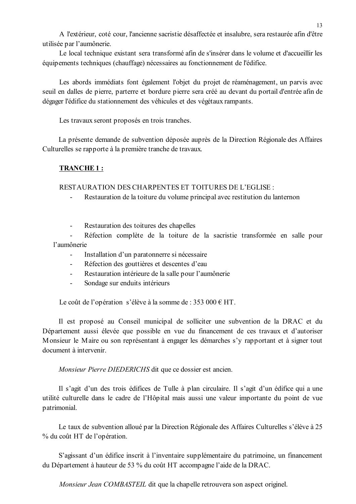A l'extérieur, coté cour, l'ancienne sacristie désaffectée et insalubre, sera restaurée afin d'être utilisée par l'aumônerie.

Le local technique existant sera transformé afin de s'insérer dans le volume et d'accueillir les équipements techniques (chauffage) nécessaires au fonctionnement de l'édifice.

Les abords immédiats font également l'objet du projet de réaménagement, un parvis avec seuil en dalles de pierre, parterre et bordure pierre sera créé au devant du portail d'entrée afin de dégager l'édifice du stationnement des véhicules et des végétaux rampants.

Les travaux seront proposés en trois tranches.

La présente demande de subvention déposée auprès de la Direction Régionale des Affaires Culturelles se rapporte à la première tranche de travaux.

## **TRANCHE1:**

**RESTAURATION DES CHARPENTES ET TOITURES DE L'EGLISE :** 

Restauration de la toiture du volume principal avec restitution du lanternon

Restauration des toitures des chapelles  $\mathbf{r}$ 

Réfection complète de la toiture de la sacristie transformée en salle pour l'aumônerie

- Installation d'un paratonnerre si nécessaire
- Réfection des gouttières et descentes d'eau
- Restauration intérieure de la salle pour l'aumônerie  $\Delta \sim 10^{-11}$
- Sondage sur enduits intérieurs  $\Delta \sim 10^{-1}$

Le coût de l'opération s'élève à la somme de : 353 000  $\epsilon$  HT.

Il est proposé au Conseil municipal de solliciter une subvention de la DRAC et du Département aussi élevée que possible en vue du financement de ces travaux et d'autoriser Monsieur le Maire ou son représentant à engager les démarches s'y rapportant et à signer tout document à intervenir

Monsieur Pierre DIEDERICHS dit que ce dossier est ancien.

Il s'agit d'un des trois édifices de Tulle à plan circulaire. Il s'agit d'un édifice qui a une utilité culturelle dans le cadre de l'Hôpital mais aussi une valeur importante du point de vue patrimonial.

Le taux de subvention alloué par la Direction Régionale des Affaires Culturelles s'élève à 25 % du coût HT de l'opération.

S'agissant d'un édifice inscrit à l'inventaire supplémentaire du patrimoine, un financement du Département à hauteur de 53 % du coût HT accompagne l'aide de la DRAC.

Monsieur Jean COMBASTEIL dit que la chapelle retrouvera son aspect originel.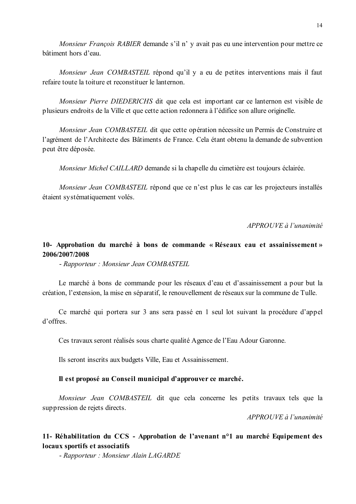Monsieur François RABIER demande s'il n' y avait pas eu une intervention pour mettre ce bâtiment hors d'eau.

Monsieur Jean COMBASTEIL répond qu'il y a eu de petites interventions mais il faut refaire toute la toiture et reconstituer le lanternon.

Monsieur Pierre DIEDERICHS dit que cela est important car ce lanternon est visible de plusieurs endroits de la Ville et que cette action redonnera à l'édifice son allure originelle.

Monsieur Jean COMBASTEIL dit que cette opération nécessite un Permis de Construire et l'agrément de l'Architecte des Bâtiments de France. Cela étant obtenu la demande de subvention peut être déposée.

*Monsieur Michel CAILLARD* demande si la chapelle du cimetière est toujours éclairée.

Monsieur Jean COMBASTEIL répond que ce n'est plus le cas car les projecteurs installés étaient systématiquement volés.

APPROUVE à l'unanimité

### 10- Approbation du marché à bons de commande « Réseaux eau et assainissement » 2006/2007/2008

- Rapporteur : Monsieur Jean COMBASTEIL

Le marché à bons de commande pour les réseaux d'eau et d'assainissement a pour but la création, l'extension, la mise en séparatif, le renouvellement de réseaux sur la commune de Tulle.

Ce marché qui portera sur 3 ans sera passé en 1 seul lot suivant la procédure d'appel d'offres.

Ces travaux seront réalisés sous charte qualité Agence de l'Eau Adour Garonne.

Ils seront inscrits aux budgets Ville, Eau et Assainissement.

#### Il est proposé au Conseil municipal d'approuver ce marché.

Monsieur Jean COMBASTEIL dit que cela concerne les petits travaux tels que la suppression de rejets directs.

 $APPROIIVE \d{d} l'unanimit \d{e}$ 

### 11- Réhabilitation du CCS - Approbation de l'avenant n<sup>o</sup>l au marché Equipement des locaux sportifs et associatifs

- Rapporteur : Monsieur Alain LAGARDE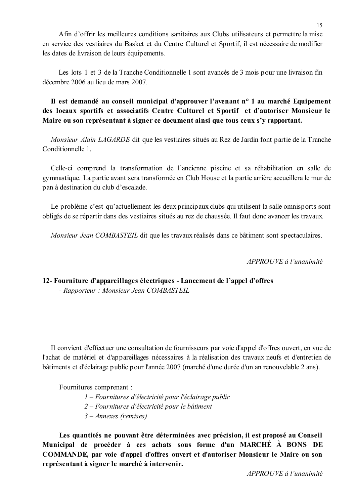Afin d'offrir les meilleures conditions sanitaires aux Clubs utilisateurs et permettre la mise en service des vestiaires du Basket et du Centre Culturel et Sportif, il est nécessaire de modifier les dates de livraison de leurs équipements.

Les lots 1 et 3 de la Tranche Conditionnelle 1 sont avancés de 3 mois pour une livraison fin décembre 2006 au lieu de mars 2007.

Il est demandé au conseil municipal d'approuver l'avenant n° 1 au marché Equipement des locaux sportifs et associatifs Centre Culturel et Sportif et d'autoriser Monsieur le Maire ou son représentant à signer ce document ainsi que tous ceux s'y rapportant.

Monsieur Alain LAGARDE dit que les vestiaires situés au Rez de Jardin font partie de la Tranche Conditionnelle 1

Celle-ci comprend la transformation de l'ancienne piscine et sa réhabilitation en salle de gymnastique. La partie avant sera transformée en Club House et la partie arrière accueillera le mur de pan à destination du club d'escalade.

Le problème c'est qu'actuellement les deux principaux clubs qui utilisent la salle omnisports sont obligés de se répartir dans des vestiaires situés au rez de chaussée. Il faut donc avancer les travaux.

Monsieur Jean COMBASTEIL dit que les travaux réalisés dans ce bâtiment sont spectaculaires.

APPROUVE à l'unanimité

### 12- Fourniture d'appareillages électriques - Lancement de l'appel d'offres - Rapporteur : Monsieur Jean COMBASTEIL

Il convient d'effectuer une consultation de fournisseurs par voie d'appel d'offres ouvert, en vue de l'achat de matériel et d'appareillages nécessaires à la réalisation des travaux neufs et d'entretien de bâtiments et d'éclairage public pour l'année 2007 (marché d'une durée d'un an renouvelable 2 ans).

Fournitures comprenant:

- $1-Fournitures d'électricité pour l'éclairage public$
- 2 Fournitures d'électricité pour le bâtiment
- $3 Anhexes$  (remises)

Les quantités ne pouvant être déterminées avec précision, il est proposé au Conseil Municipal de procéder à ces achats sous forme d'un MARCHÉ À BONS DE COMMANDE, par voie d'appel d'offres ouvert et d'autoriser Monsieur le Maire ou son représentant à signer le marché à intervenir.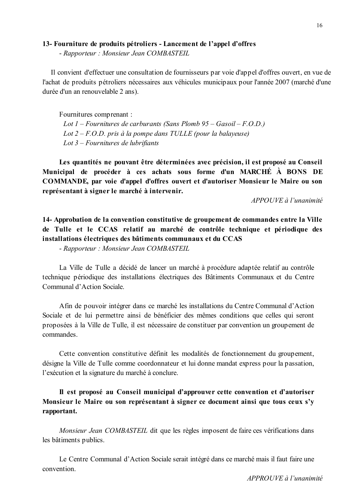#### 13- Fourniture de produits pétroliers - Lancement de l'appel d'offres

- Rapporteur : Monsieur Jean COMBASTEIL

Il convient d'effectuer une consultation de fournisseurs par voie d'appel d'offres ouvert, en vue de l'achat de produits pétroliers nécessaires aux véhicules municipaux pour l'année 2007 (marché d'une durée d'un an renouvelable 2 ans).

Fournitures comprenant :

Lot 1 – Fournitures de carburants (Sans Plomb  $95 - Gasoil - F.O.D.$ ) Lot  $2 - F.O.D.$  pris à la pompe dans TULLE (pour la balayeuse) Lot  $3$  – Fournitures de lubrifiants

Les quantités ne pouvant être déterminées avec précision, il est proposé au Conseil Municipal de procéder à ces achats sous forme d'un MARCHÉ À BONS DE COMMANDE, par voie d'appel d'offres ouvert et d'autoriser Monsieur le Maire ou son représentant à signer le marché à intervenir.

APPOUVE à l'unanimité

14- Approbation de la convention constitutive de groupement de commandes entre la Ville de Tulle et le CCAS relatif au marché de contrôle technique et périodique des installations électriques des bâtiments communaux et du CCAS

- Rapporteur : Monsieur Jean COMBASTEIL

La Ville de Tulle a décidé de lancer un marché à procédure adaptée relatif au contrôle technique périodique des installations électriques des Bâtiments Communaux et du Centre Communal d'Action Sociale.

Afin de pouvoir intégrer dans ce marché les installations du Centre Communal d'Action Sociale et de lui permettre ainsi de bénéficier des mêmes conditions que celles qui seront proposées à la Ville de Tulle, il est nécessaire de constituer par convention un groupement de commandes

Cette convention constitutive définit les modalités de fonctionnement du groupement, désigne la Ville de Tulle comme coordonnateur et lui donne mandat express pour la passation, l'exécution et la signature du marché à conclure.

Il est proposé au Conseil municipal d'approuver cette convention et d'autoriser Monsieur le Maire ou son représentant à signer ce document ainsi que tous ceux s'y rapportant.

*Monsieur Jean COMBASTEIL* dit que les règles imposent de faire ces vérifications dans les bâtiments publics.

Le Centre Communal d'Action Sociale serait intégré dans ce marché mais il faut faire une convention.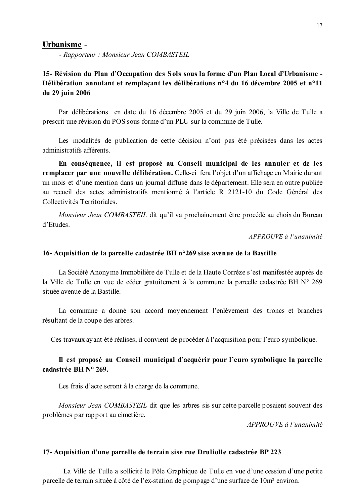#### Urbanisme -

- Rapporteur : Monsieur Jean COMBASTEIL

## 15- Révision du Plan d'Occupation des Sols sous la forme d'un Plan Local d'Urbanisme -Délibération annulant et remplaçant les délibérations n°4 du 16 décembre 2005 et n°11 du 29 juin 2006

Par délibérations en date du 16 décembre 2005 et du 29 juin 2006, la Ville de Tulle a prescrit une révision du POS sous forme d'un PLU sur la commune de Tulle.

Les modalités de publication de cette décision n'ont pas été précisées dans les actes administratifs afférents

En conséquence, il est proposé au Conseil municipal de les annuler et de les remplacer par une nouvelle délibération. Celle-ci fera l'objet d'un affichage en Mairie durant un mois et d'une mention dans un journal diffusé dans le département. Elle sera en outre publiée au recueil des actes administratifs mentionné à l'article R 2121-10 du Code Général des Collectivités Territoriales

Monsieur Jean COMBASTEIL dit qu'il va prochainement être procédé au choix du Bureau d'Etudes

APPROUVE à l'unanimité

#### 16- Acquisition de la parcelle cadastrée BH n°269 sise avenue de la Bastille

La Société Anonyme Immobilière de Tulle et de la Haute Corrèze s'est manifestée auprès de la Ville de Tulle en vue de céder gratuitement à la commune la parcelle cadastrée BH N° 269 située avenue de la Bastille.

La commune a donné son accord moyennement l'enlèvement des troncs et branches résultant de la coupe des arbres.

Ces travaux ayant été réalisés, il convient de procéder à l'acquisition pour l'euro symbolique.

### Il est proposé au Conseil municipal d'acquérir pour l'euro symbolique la parcelle cadastrée BH N° 269.

Les frais d'acte seront à la charge de la commune.

Monsieur Jean COMBASTEIL dit que les arbres sis sur cette parcelle posaient souvent des problèmes par rapport au cimetière.

APPROUVE à l'unanimité

#### 17- Acquisition d'une parcelle de terrain sise rue Druliolle cadastrée BP 223

La Ville de Tulle a sollicité le Pôle Graphique de Tulle en vue d'une cession d'une petite parcelle de terrain située à côté de l'ex-station de pompage d'une surface de 10m<sup>2</sup> environ.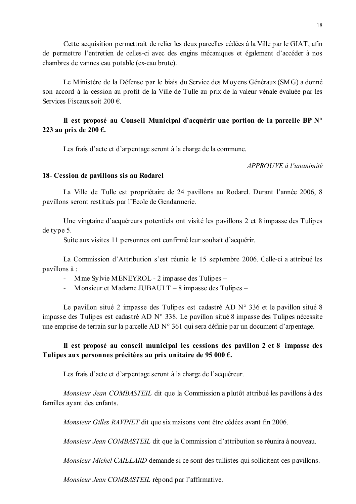Cette acquisition permettrait de relier les deux parcelles cédées à la Ville par le GIAT, afin de permettre l'entretien de celles-ci avec des engins mécaniques et également d'accéder à nos chambres de vannes eau potable (ex-eau brute).

Le Ministère de la Défense par le biais du Service des Moyens Généraux (SMG) a donné son accord à la cession au profit de la Ville de Tulle au prix de la valeur vénale évaluée par les Services Fiscaux soit 200  $\epsilon$ .

## Il est proposé au Conseil Municipal d'acquérir une portion de la parcelle BP N° 223 au prix de 200  $\epsilon$ .

Les frais d'acte et d'arpentage seront à la charge de la commune.

APPROUVE à l'unanimité

### 18- Cession de pavillons sis au Rodarel

La Ville de Tulle est propriétaire de 24 pavillons au Rodarel. Durant l'année 2006, 8 pavillons seront restitués par l'Ecole de Gendarmerie.

Une vingtaine d'acquéreurs potentiels ont visité les pavillons 2 et 8 impasse des Tulipes de type 5.

Suite aux visites 11 personnes ont confirmé leur souhait d'acquérir.

La Commission d'Attribution s'est réunie le 15 septembre 2006. Celle-ci a attribué les pavillons à :

- Mme Sylvie MENEYROL 2 impasse des Tulipes –
- Monsieur et Madame JUBAULT  $-8$  impasse des Tulipes  $-$

Le pavillon situé 2 impasse des Tulipes est cadastré AD N° 336 et le pavillon situé 8 impasse des Tulipes est cadastré AD N° 338. Le pavillon situé 8 impasse des Tulipes nécessite une emprise de terrain sur la parcelle AD N° 361 qui sera définie par un document d'arpentage.

## Il est proposé au conseil municipal les cessions des pavillon 2 et 8 impasse des Tulipes aux personnes précitées au prix unitaire de 95 000  $\epsilon$ .

Les frais d'acte et d'arpentage seront à la charge de l'acquéreur.

Monsieur Jean COMBASTEIL dit que la Commission a plutôt attribué les pavillons à des familles avant des enfants.

Monsieur Gilles RAVINET dit que six maisons vont être cédées avant fin 2006.

Monsieur Jean COMBASTEIL dit que la Commission d'attribution se réunira à nouveau.

*Monsieur Michel CAILLARD* demande si ce sont des tullistes qui sollicitent ces pavillons.

Monsieur Jean COMBASTEIL répond par l'affirmative.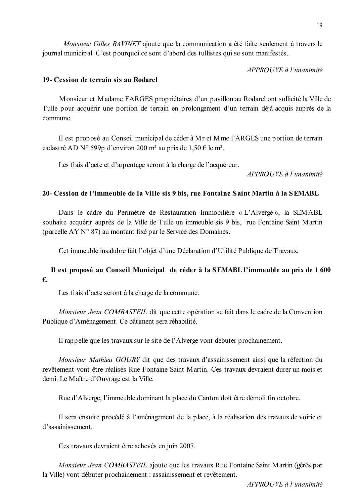$APPROIIVE$  à l'unanimité

### 19- Cession de terrain sis au Rodarel

Monsieur et Madame FARGES propriétaires d'un pavillon au Rodarel ont sollicité la Ville de Tulle pour acquérir une portion de terrain en prolongement d'un terrain déjà acquis auprès de la commune

Il est proposé au Conseil municipal de céder à Mr et Mme FARGES une portion de terrain cadastré AD N° 599p d'environ 200 m<sup>2</sup> au prix de 1,50 € le m<sup>2</sup>.

Les frais d'acte et d'arpentage seront à la charge de l'acquéreur.

APPROUVE à l'unanimité

### 20 Cession de l'immeuble de la Ville sis 9 bis, rue Fontaine Saint Martin à la SEMABL

Dans le cadre du Périmètre de Restauration Immobilière « L'Alverge », la SEMABL souhaite acquérir auprès de la Ville de Tulle un immeuble sis 9 bis, rue Fontaine Saint Martin (parcelle AY N° 87) au montant fixé par le Service des Domaines.

Cet immeuble insalubre fait l'objet d'une Déclaration d'Utilité Publique de Travaux.

## Il est proposé au Conseil Municipal de céder à la SEMABL l'immeuble au prix de 1600  $\epsilon$ .

Les frais d'acte seront à la charge de la commune.

Monsieur Jean COMBASTEIL dit que cette opération se fait dans le cadre de la Convention Publique d'Aménagement. Ce bâtiment sera réhabilité.

Il rappelle que les travaux sur le site de l'Alverge vont débuter prochainement.

*Monsieur Mathieu GOURY* dit que des travaux d'assainissement ainsi que la réfection du revêtement vont être réalisés Rue Fontaine Saint Martin. Ces travaux devraient durer un mois et demi. Le Maître d'Ouvrage est la Ville.

Rue d'Alverge. l'immeuble dominant la place du Canton doit être démoli fin octobre.

Il sera ensuite procédé à l'aménagement de la place, à la réalisation des travaux de voirie et d'assainissement

Ces travaux devraient être achevés en juin 2007.

Monsieur Jean COMBASTEIL ajoute que les travaux Rue Fontaine Saint Martin (gérés par la Ville) vont débuter prochainement : assainissement et revêtement.

 $APPROIIVE$  à l'unanimité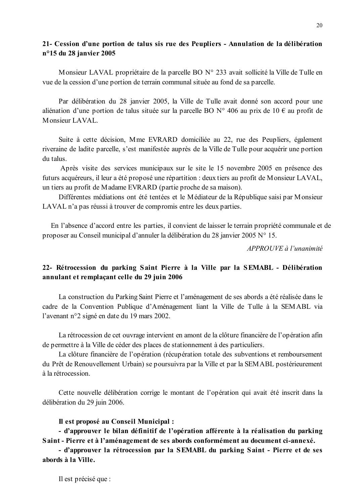### 21- Cession d'une portion de talus sis rue des Peupliers - Annulation de la délibération n°15 du 28 janvier 2005

Monsieur LAVAL propriétaire de la parcelle BO N° 233 avait sollicité la Ville de Tulle en vue de la cession d'une portion de terrain communal située au fond de sa parcelle.

Par délibération du 28 janvier 2005, la Ville de Tulle avait donné son accord pour une aliénation d'une portion de talus située sur la parcelle BO N° 406 au prix de 10 € au profit de Monsieur LAVAL

Suite à cette décision, Mme EVRARD domiciliée au 22, rue des Peupliers, également riveraine de ladite parcelle, s'est manifestée auprès de la Ville de Tulle pour acquérir une portion du talus

Après visite des services municipaux sur le site le 15 novembre 2005 en présence des futurs acquéreurs, il leur a été proposé une répartition : deux tiers au profit de Monsieur LAVAL, un tiers au profit de Madame EVRARD (partie proche de sa maison).

Différentes médiations ont été tentées et le Médiateur de la République saisi par Monsieur LAVAL n'a pas réussi à trouver de compromis entre les deux parties.

En l'absence d'accord entre les parties, il convient de laisser le terrain propriété communale et de proposer au Conseil municipal d'annuler la délibération du 28 janvier 2005 N° 15.

APPROUVE à l'unanimité

## 22- Rétrocession du parking Saint Pierre à la Ville par la SEMABL - Délibération annulant et remplaçant celle du 29 juin 2006

La construction du Parking Saint Pierre et l'aménagement de ses abords a été réalisée dans le cadre de la Convention Publique d'Aménagement liant la Ville de Tulle à la SEMABL via l'avenant n°2 signé en date du 19 mars 2002.

La rétrocession de cet ouvrage intervient en amont de la clôture financière de l'opération afin de permettre à la Ville de céder des places de stationnement à des particuliers.

La clôture financière de l'opération (récupération totale des subventions et remboursement du Prêt de Renouvellement Urbain) se poursuivra par la Ville et par la SEMABL postérieurement à la rétrocession

Cette nouvelle délibération corrige le montant de l'opération qui avait été inscrit dans la délibération du 29 juin 2006.

Il est proposé au Conseil Municipal :

- d'approuver le bilan définitif de l'opération afférente à la réalisation du parking Saint - Pierre et à l'aménagement de ses abords conformément au document ci-annexé.

- d'approuver la rétrocession par la SEMABL du parking Saint - Pierre et de ses abords à la Ville.

20

Il est précisé que :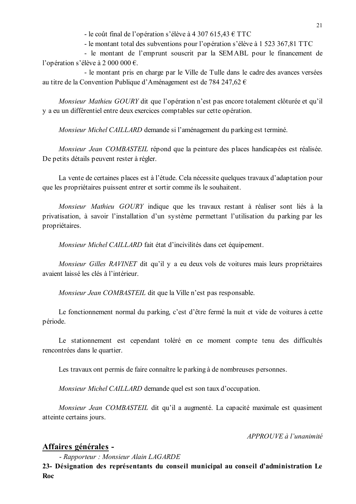- le coût final de l'opération s'élève à 4 307 615,43  $\text{\textsterling TTC}$ 

- le montant total des subventions pour l'opération s'élève à 1 523 367,81 TTC

- le montant de l'emprunt souscrit par la SEMABL pour le financement de l'opération s'élève à 2 000 000 €.

- le montant pris en charge par le Ville de Tulle dans le cadre des avances versées au titre de la Convention Publique d'Aménagement est de 784 247,62 €

Monsieur Mathieu GOURY dit que l'opération n'est pas encore totalement clôturée et qu'il y a eu un différentiel entre deux exercices comptables sur cette opération.

Monsieur Michel CAILLARD demande si l'aménagement du parking est terminé.

*Monsieur Jean COMBASTEIL* répond que la peinture des places handicapées est réalisée. De petits détails peuvent rester à régler.

La vente de certaines places est à l'étude. Cela nécessite quelques travaux d'adaptation pour que les propriétaires puissent entrer et sortir comme ils le souhaitent.

Monsieur Mathieu GOURY indique que les travaux restant à réaliser sont liés à la privatisation, à savoir l'installation d'un système permettant l'utilisation du parking par les propriétaires.

Monsieur Michel CAILLARD fait état d'incivilités dans cet équipement.

Monsieur Gilles RAVINET dit qu'il y a eu deux vols de voitures mais leurs propriétaires avaient laissé les clés à l'intérieur.

Monsieur Jean COMBASTEIL dit que la Ville n'est pas responsable.

Le fonctionnement normal du parking c'est d'être fermé la nuit et vide de voitures à cette période.

Le stationnement est cependant toléré en ce moment compte tenu des difficultés rencontrées dans le quartier.

Les travaux ont permis de faire connaître le parking à de nombreuses personnes.

Monsieur Michel CAILLARD demande quel est son taux d'occupation.

Monsieur Jean COMBASTEIL dit qu'il a augmenté. La capacité maximale est quasiment atteinte certains jours.

 $APPROUVE \d{d} l'unanimit$ 

# Affaires générales -

- Rapporteur : Monsieur Alain LAGARDE

23- Désignation des représentants du conseil municipal au conseil d'administration Le Roc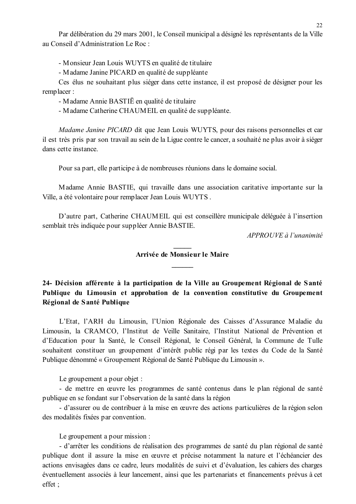Par délibération du 29 mars 2001, le Conseil municipal a désigné les représentants de la Ville au Conseil d'Administration Le Roc ·

- Monsieur Jean Louis WUYTS en qualité de titulaire

- Madame Janine PICARD en qualité de suppléante

Ces élus ne souhaitant plus siéger dans cette instance, il est proposé de désigner pour les remplacer:

- Madame Annie BASTIE en qualité de titulaire

- Madame Catherine CHAUMEIL en qualité de suppléante.

Madame Janine PICARD dit que Jean Louis WUYTS, pour des raisons personnelles et car il est très pris par son travail au sein de la Ligue contre le cancer, a souhaité ne plus avoir à siéger dans cette instance

Pour sa part, elle participe à de nombreuses réunions dans le domaine social.

Madame Annie BASTIE, qui travaille dans une association caritative importante sur la Ville, a été volontaire pour remplacer Jean Louis WUYTS.

D'autre part, Catherine CHAUMEIL qui est conseillère municipale déléguée à l'insertion semblait très indiquée pour suppléer Annie BASTIE.

 $APPROUVE \d{d} l'unanimit$ 

### Arrivée de Monsieur le Maire

24- Décision afférente à la participation de la Ville au Groupement Régional de Santé Publique du Limousin et approbation de la convention constitutive du Groupement Régional de Santé Publique

L'Etat, l'ARH du Limousin, l'Union Régionale des Caisses d'Assurance Maladie du Limousin, la CRAMCO, l'Institut de Veille Sanitaire, l'Institut National de Prévention et d'Education pour la Santé, le Conseil Régional, le Conseil Général, la Commune de Tulle souhaitent constituer un groupement d'intérêt public régi par les textes du Code de la Santé Publique dénommé « Groupement Régional de Santé Publique du Limousin ».

Le groupement a pour objet :

- de mettre en œuvre les programmes de santé contenus dans le plan régional de santé publique en se fondant sur l'observation de la santé dans la région

- d'assurer ou de contribuer à la mise en œuvre des actions particulières de la région selon des modalités fixées par convention.

Le groupement a pour mission :

- d'arrêter les conditions de réalisation des programmes de santé du plan régional de santé publique dont il assure la mise en œuvre et précise notamment la nature et l'échéancier des actions envisagées dans ce cadre, leurs modalités de suivi et d'évaluation, les cahiers des charges éventuellement associés à leur lancement, ainsi que les partenariats et financements prévus à cet effet :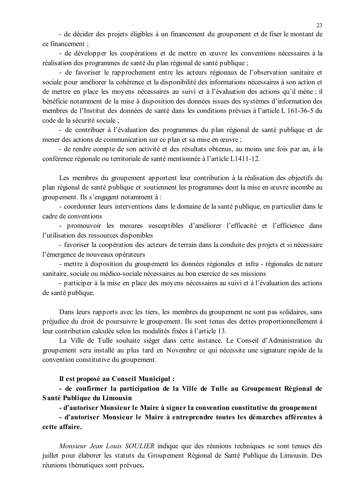- de décider des projets éligibles à un financement du groupement et de fixer le montant de ce financement :

- de développer les coopérations et de mettre en œuvre les conventions nécessaires à la réalisation des programmes de santé du plan régional de santé publique :

- de favoriser le rapprochement entre les acteurs régionaux de l'observation sanitaire et sociale pour améliorer la cohérence et la disponibilité des informations nécessaires à son action et de mettre en place les moyens nécessaires au suivi et à l'évaluation des actions qu'il mène; il bénéficie notamment de la mise à disposition des données issues des systèmes d'information des membres de l'Institut des données de santé dans les conditions prévues à l'article L 161-36-5 du code de la sécurité sociale :

- de contribuer à l'évaluation des programmes du plan régional de santé publique et de mener des actions de communication sur ce plan et sa mise en œuvre;

- de rendre compte de son activité et des résultats obtenus, au moins une fois par an, à la conférence régionale ou territoriale de santé mentionnée à l'article L1411-12.

Les membres du groupement apportent leur contribution à la réalisation des objectifs du plan régional de santé publique et soutiennent les programmes dont la mise en œuvre incombe au groupement. Ils s'engagent notamment à :

- coordonner leurs interventions dans le domaine de la santé publique, en particulier dans le cadre de conventions

- promouvoir les mesures susceptibles d'améliorer l'efficacité et l'efficience dans l'utilisation des ressources disponibles

- favoriser la coopération des acteurs de terrain dans la conduite des projets et si nécessaire l'émergence de nouveaux opérateurs

- mettre à disposition du groupement les données régionales et infra - régionales de nature sanitaire, sociale ou médico-sociale nécessaires au bon exercice de ses missions

- participer à la mise en place des moyens nécessaires au suivi et à l'évaluation des actions de santé publique.

Dans leurs rapports avec les tiers, les membres du groupement ne sont pas solidaires, sans préjudice du droit de poursuivre le groupement. Ils sont tenus des dettes proportionnellement à leur contribution calculée selon les modalités fixées à l'article 13.

La Ville de Tulle souhaite siéger dans cette instance. Le Conseil d'Administration du groupement sera installé au plus tard en Novembre ce qui nécessite une signature rapide de la convention constitutive du groupement.

Il est proposé au Conseil Municipal :

- de confirmer la participation de la Ville de Tulle au Groupement Régional de Santé Publique du Limousin

- d'autoriser Monsieur le Maire à signer la convention constitutive du groupement

- d'autoriser Monsieur le Maire à entreprendre toutes les démarches afférentes à cette affaire.

Monsieur Jean Louis SOULIER indique que des réunions techniques se sont tenues dès juillet pour élaborer les statuts du Groupement Régional de Santé Publique du Limousin. Des réunions thématiques sont prévues.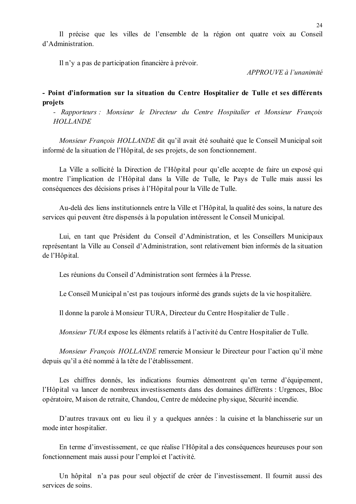Il précise que les villes de l'ensemble de la région ont quatre voix au Conseil d'Administration

Il n'v a pas de participation financière à prévoir.

 $APPROUVE \d0$  l'unanimité

### - Point d'information sur la situation du Centre Hospitalier de Tulle et ses différents projets

- Rapporteurs : Monsieur le Directeur du Centre Hospitalier et Monsieur François **HOLLANDE** 

Monsieur Francois HOLLANDE dit qu'il avait été souhaité que le Conseil Municipal soit informé de la situation de l'Hôpital, de ses projets, de son fonctionnement.

La Ville a sollicité la Direction de l'Hôpital pour qu'elle accepte de faire un exposé qui montre l'implication de l'Hôpital dans la Ville de Tulle, le Pays de Tulle mais aussi les conséquences des décisions prises à l'Hôpital pour la Ville de Tulle.

Au-delà des liens institutionnels entre la Ville et l'Hôpital, la qualité des soins, la nature des services qui peuvent être dispensés à la population intéressent le Conseil Municipal.

Lui, en tant que Président du Conseil d'Administration, et les Conseillers Municipaux représentant la Ville au Conseil d'Administration, sont relativement bien informés de la situation de l'Hôpital.

Les réunions du Conseil d'Administration sont fermées à la Presse.

Le Conseil Municipal n'est pas toujours informé des grands sujets de la vie hospitalière.

Il donne la parole à Monsieur TURA, Directeur du Centre Hospitalier de Tulle.

Monsieur TURA expose les éléments relatifs à l'activité du Centre Hospitalier de Tulle.

Monsieur François HOLLANDE remercie Monsieur le Directeur pour l'action qu'il mène depuis qu'il a été nommé à la tête de l'établissement.

Les chiffres donnés, les indications fournies démontrent qu'en terme d'équipement, l'Hôpital va lancer de nombreux investissements dans des domaines différents : Urgences, Bloc opératoire, Maison de retraite, Chandou, Centre de médecine physique, Sécurité incendie.

D'autres travaux ont eu lieu il y a quelques années : la cuisine et la blanchisserie sur un mode inter hospitalier.

En terme d'investissement, ce que réalise l'Hôpital a des conséquences heureuses pour son fonctionnement mais aussi pour l'emploi et l'activité.

Un hôpital n'a pas pour seul objectif de créer de l'investissement. Il fournit aussi des services de soins.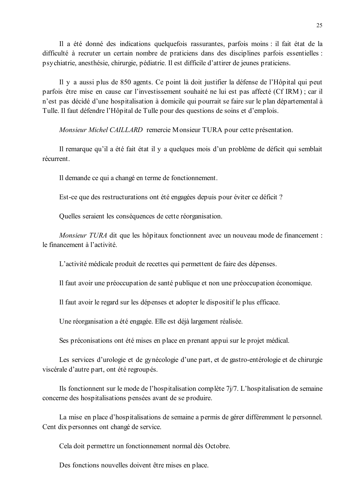Il a été donné des indications quelquefois rassurantes, parfois moins : il fait état de la difficulté à recruter un certain nombre de praticiens dans des disciplines parfois essentielles : psychiatrie, anesthésie, chirurgie, pédiatrie. Il est difficile d'attirer de jeunes praticiens.

Il y a aussi plus de 850 agents. Ce point là doit justifier la défense de l'Hôpital qui peut parfois être mise en cause car l'investissement souhaité ne lui est pas affecté (Cf IRM); car il n'est pas décidé d'une hospitalisation à domicile qui pourrait se faire sur le plan départemental à Tulle. Il faut défendre l'Hôpital de Tulle pour des questions de soins et d'emplois.

Monsieur Michel CAILLARD remercie Monsieur TURA pour cette présentation.

Il remarque qu'il a été fait état il y a quelques mois d'un problème de déficit qui semblait récurrent

Il demande ce qui a changé en terme de fonctionnement.

Est-ce que des restructurations ont été engagées depuis pour éviter ce déficit ?

Quelles seraient les conséquences de cette réorganisation.

Monsieur TURA dit que les hôpitaux fonctionnent avec un nouveau mode de financement : le financement à l'activité.

L'activité médicale produit de recettes qui permettent de faire des dépenses.

Il faut avoir une préoccupation de santé publique et non une préoccupation économique.

Il faut avoir le regard sur les dépenses et adopter le dispositif le plus efficace.

Une réorganisation a été engagée. Elle est déjà largement réalisée.

Ses préconisations ont été mises en place en prenant appui sur le projet médical.

Les services d'urologie et de gynécologie d'une part, et de gastro-entérologie et de chirurgie viscérale d'autre part, ont été regroupés.

Ils fonctionnent sur le mode de l'hospitalisation complète  $7j/7$ . L'hospitalisation de semaine concerne des hospitalisations pensées avant de se produire.

La mise en place d'hospitalisations de semaine a permis de gérer différemment le personnel. Cent dix personnes ont changé de service.

Cela doit permettre un fonctionnement normal dès Octobre.

Des fonctions nouvelles doivent être mises en place.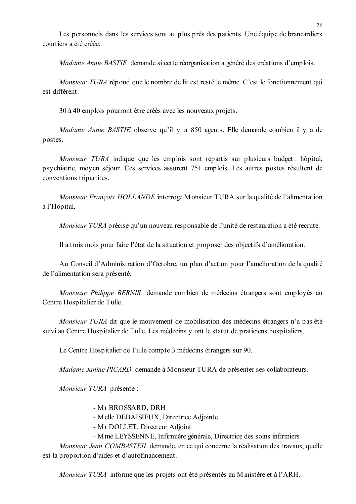Les personnels dans les services sont au plus près des patients. Une équipe de brancardiers courtiers a été créée

Madame Annie BASTIE demande si cette réorganisation a généré des créations d'emplois.

*Monsieur TURA* répond que le nombre de lit est resté le même. C'est le fonctionnement qui est différent

30 à 40 emplois pourront être créés avec les nouveaux projets.

*Madame Annie BASTIE* observe qu'il y a 850 agents. Elle demande combien il y a de postes.

Monsieur TURA indique que les emplois sont répartis sur plusieurs budget : hôpital, psychiatrie, moyen séjour. Ces services assurent 751 emplois. Les autres postes résultent de conventions tripartites.

Monsieur François HOLLANDE interroge Monsieur TURA sur la qualité de l'alimentation à l'Hôpital.

Monsieur TURA précise qu'un nouveau responsable de l'unité de restauration a été recruté.

Il a trois mois pour faire l'état de la situation et proposer des objectifs d'amélioration.

Au Conseil d'Administration d'Octobre, un plan d'action pour l'amélioration de la qualité de l'alimentation sera présenté.

Monsieur Philippe BERNIS demande combien de médecins étrangers sont employés au Centre Hospitalier de Tulle.

*Monsieur TURA* dit que le mouvement de mobilisation des médecins étrangers n'a pas été suivi au Centre Hospitalier de Tulle. Les médecins y ont le statut de praticiens hospitaliers.

Le Centre Hospitalier de Tulle compte 3 médecins étrangers sur 90.

Madame Janine PICARD demande à Monsieur TURA de présenter ses collaborateurs.

Monsieur TURA présente :

- Mr BROSSARD, DRH

- Melle DEBAISIEUX, Directrice Adjointe

- Mr DOLLET, Directeur Adjoint
- M me LEYSSENNE, Infirmière générale, Directrice des soins infirmiers

Monsieur Jean COMBASTEIL demande, en ce qui concerne la réalisation des travaux, quelle est la proportion d'aides et d'autofinancement.

*Monsieur TURA* informe que les projets ont été présentés au Ministère et à l'ARH.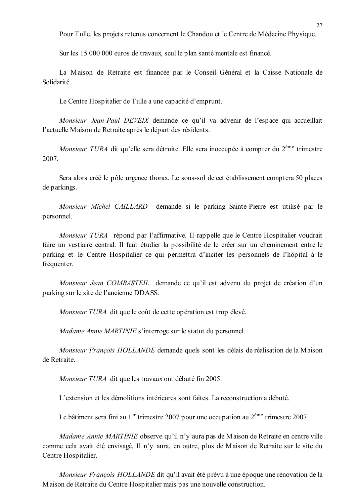Pour Tulle, les projets retenus concernent le Chandou et le Centre de Médecine Physique.

Sur les 15 000 000 euros de travaux, seul le plan santé mentale est financé.

La Maison de Retraite est financée par le Conseil Général et la Caisse Nationale de Solidarité.

Le Centre Hospitalier de Tulle a une capacité d'emprunt.

Monsieur Jean-Paul DEVEIX demande ce qu'il va advenir de l'espace qui accueillait l'actuelle Maison de Retraite après le départ des résidents.

Monsieur TURA dit au'elle sera détruite. Elle sera inoccupée à compter du 2<sup>ème</sup> trimestre 2007.

Sera alors créé le pôle urgence thorax. Le sous-sol de cet établissement comptera 50 places de parkings.

Monsieur Michel CAILLARD demande si le parking Sainte-Pierre est utilisé par le personnel.

Monsieur TURA répond par l'affirmative. Il rappelle que le Centre Hospitalier voudrait faire un vestiaire central. Il faut étudier la possibilité de le créer sur un cheminement entre le parking et le Centre Hospitalier ce qui permettra d'inciter les personnels de l'hôpital à le fréquenter.

Monsieur Jean COMBASTEIL demande ce qu'il est advenu du projet de création d'un parking sur le site de l'ancienne DDASS.

Monsieur TURA dit que le coût de cette opération est trop élevé.

*Madame Annie MARTINIE* s'interroge sur le statut du personnel.

Monsieur François HOLLANDE demande quels sont les délais de réalisation de la Maison de Retraite

Monsieur TURA dit que les travaux ont débuté fin 2005.

L'extension et les démolitions intérieures sont faites. La reconstruction a débuté

Le bâtiment sera fini au 1<sup>er</sup> trimestre 2007 pour une occupation au  $2^{\text{eme}}$  trimestre 2007.

Madame Annie MARTINIE observe qu'il n'y aura pas de Maison de Retraite en centre ville comme cela avait été envisagé. Il n'y aura, en outre, plus de Maison de Retraite sur le site du Centre Hospitalier.

Monsieur François HOLLANDE dit qu'il avait été prévu à une époque une rénovation de la Maison de Retraite du Centre Hospitalier mais pas une nouvelle construction.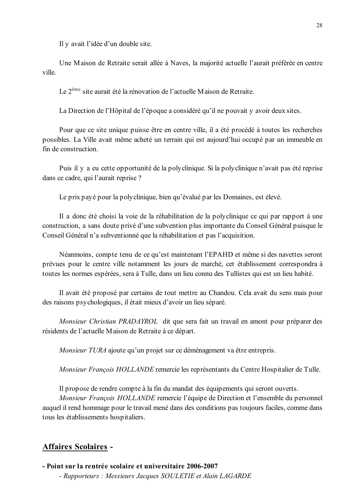Il y avait l'idée d'un double site.

Une Maison de Retraite serait allée à Naves, la maiorité actuelle l'aurait préférée en centre ville

Le 2<sup>ème</sup> site aurait été la rénovation de l'actuelle Maison de Retraite.

La Direction de l'Hôpital de l'époque a considéré qu'il ne pouvait y avoir deux sites.

Pour que ce site unique puisse être en centre ville, il a été procédé à toutes les recherches possibles. La Ville avait même acheté un terrain qui est aujourd'hui occupé par un immeuble en fin de construction

Puis il y a eu cette opportunité de la polyclinique. Si la polyclinique n'avait pas été reprise dans ce cadre, qui l'aurait reprise ?

Le prix payé pour la polyclinique, bien qu'évalué par les Domaines, est élevé.

Il a donc été choisi la voie de la réhabilitation de la polyclinique ce qui par rapport à une construction, a sans doute privé d'une subvention plus importante du Conseil Général puisque le Conseil Général n'a subventionné que la réhabilitation et pas l'acquisition.

Néanmoins, compte tenu de ce qu'est maintenant l'EPAHD et même si des navettes seront prévues pour le centre ville notamment les jours de marché, cet établissement correspondra à toutes les normes espérées, sera à Tulle, dans un lieu connu des Tullistes qui est un lieu habité.

Il avait été proposé par certains de tout mettre au Chandou. Cela avait du sens mais pour des raisons psychologiques, il était mieux d'avoir un lieu séparé.

Monsieur Christian PRADAYROL dit que sera fait un travail en amont pour préparer des résidents de l'actuelle Maison de Retraite à ce départ.

*Monsieur TURA* ajoute qu'un projet sur ce déménagement va être entrepris.

Monsieur François HOLLANDE remercie les représentants du Centre Hospitalier de Tulle.

Il propose de rendre compte à la fin du mandat des équipements qui seront ouverts.

*Monsieur Francois HOLLANDE* remercie l'équipe de Direction et l'ensemble du personnel auguel il rend hommage pour le travail mené dans des conditions pas toujours faciles, comme dans tous les établissements hospitaliers.

#### **Affaires Scolaires -**

- Point sur la rentrée scolaire et universitaire 2006-2007 - Rapporteurs : Messieurs Jacques SOULETIE et Alain LAGARDE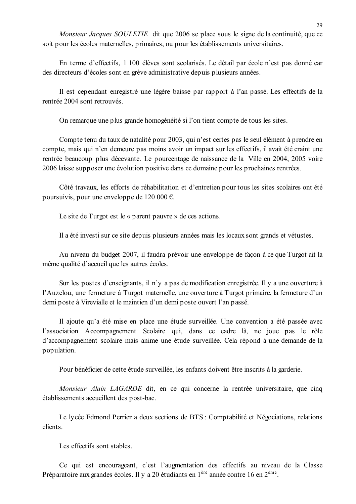Monsieur Jacques SOULETIE dit que 2006 se place sous le signe de la continuité, que ce soit pour les écoles maternelles, primaires, ou pour les établissements universitaires.

En terme d'effectifs. 1 100 élèves sont scolarisés. Le détail par école n'est pas donné car des directeurs d'écoles sont en grève administrative depuis plusieurs années.

Il est cependant enregistré une légère baisse par rapport à l'an passé. Les effectifs de la rentrée 2004 sont retrouvés.

On remarque une plus grande homogénéité si l'on tient compte de tous les sites.

Compte tenu du taux de natalité pour 2003, qui n'est certes pas le seul élément à prendre en compte, mais qui n'en demeure pas moins avoir un impact sur les effectifs, il avait été craint une rentrée beaucoup plus décevante. Le pourcentage de naissance de la Ville en 2004, 2005 voire 2006 laisse supposer une évolution positive dans ce domaine pour les prochaines rentrées.

Côté travaux, les efforts de réhabilitation et d'entretien pour tous les sites scolaires ont été poursuivis, pour une enveloppe de 120 000  $\epsilon$ .

Le site de Turgot est le « parent pauvre » de ces actions.

Il a été investi sur ce site depuis plusieurs années mais les locaux sont grands et vétustes.

Au niveau du budget 2007, il faudra prévoir une enveloppe de façon à ce que Turgot ait la même qualité d'accueil que les autres écoles.

Sur les postes d'enseignants, il n'y a pas de modification enregistrée. Il y a une ouverture à l'Auzelou, une fermeture à Turgot maternelle, une ouverture à Turgot primaire, la fermeture d'un demi poste à Virevialle et le maintien d'un demi poste ouvert l'an passé.

Il ajoute qu'a été mise en place une étude surveillée. Une convention a été passée avec l'association Accompagnement Scolaire qui, dans ce cadre là, ne joue pas le rôle d'accompagnement scolaire mais anime une étude surveillée. Cela répond à une demande de la population.

Pour bénéficier de cette étude surveillée, les enfants doivent être inscrits à la garderie.

Monsieur Alain LAGARDE dit, en ce qui concerne la rentrée universitaire, que cinq établissements accueillent des post-bac.

Le lycée Edmond Perrier a deux sections de BTS : Comptabilité et Négociations, relations clients

Les effectifs sont stables.

Ce qui est encourageant, c'est l'augmentation des effectifs au niveau de la Classe Préparatoire aux grandes écoles. Il y a 20 étudiants en 1<sup>ère</sup> année contre 16 en 2<sup>ème</sup>.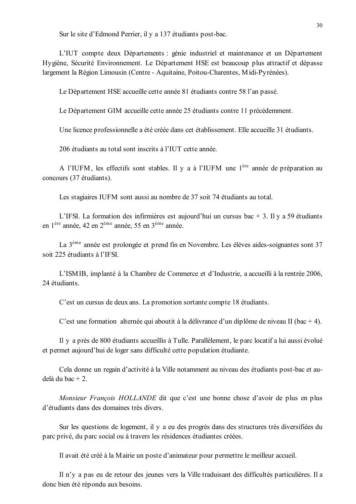Sur le site d'Edmond Perrier, il y a 137 étudiants post-bac.

L'IUT compte deux Départements : génie industriel et maintenance et un Département Hygiène, Sécurité Environnement. Le Département HSE est beaucoup plus attractif et dépasse largement la Région Limousin (Centre - Aquitaine, Poitou-Charentes, Midi-Pyrénées).

Le Département HSE accueille cette année 81 étudiants contre 58 l'an passé.

Le Département GIM accueille cette année 25 étudiants contre 11 précédemment.

Une licence professionnelle a été créée dans cet établissement. Elle accueille 31 étudiants.

206 étudiants au total sont inscrits à l'IUT cette année.

A l'IUFM, les effectifs sont stables. Il y a à l'IUFM une l<sup>ère</sup> année de préparation au concours (37 étudiants).

Les stagiaires IUFM sont aussi au nombre de 37 soit 74 étudiants au total.

L'IFSI. La formation des infirmières est aujourd'hui un cursus bac + 3. Il y a 59 étudiants en 1<sup>ère</sup> année, 42 en 2<sup>ème</sup> année, 55 en 3<sup>ème</sup> année.

La 3<sup>ème</sup> année est prolongée et prend fin en Novembre. Les élèves aides-soignantes sont 37 soit 225 étudiants à l'IFSI.

L'ISMIB, implanté à la Chambre de Commerce et d'Industrie, a accueilli à la rentrée 2006, 24 étudiants.

C'est un cursus de deux ans. La promotion sortante compte 18 étudiants.

C'est une formation alternée qui aboutit à la délivrance d'un diplôme de niveau II (bac + 4).

Il y a près de 800 étudiants accueillis à Tulle. Parallèlement, le parc locatif a lui aussi évolué et permet aujourd'hui de loger sans difficulté cette population étudiante.

Cela donne un regain d'activité à la Ville notamment au niveau des étudiants post-bac et audelà du bac + 2.

*Monsieur Francois HOLLANDE* dit que c'est une bonne chose d'avoir de plus en plus d'étudiants dans des domaines très divers.

Sur les questions de logement, il y a eu des progrès dans des structures très diversifiées du parc privé, du parc social ou à travers les résidences étudiantes créées.

Il avait été créé à la Mairie un poste d'animateur pour permettre le meilleur accueil.

Il n'y a pas eu de retour des jeunes vers la Ville traduisant des difficultés particulières. Il a donc bien été répondu aux besoins.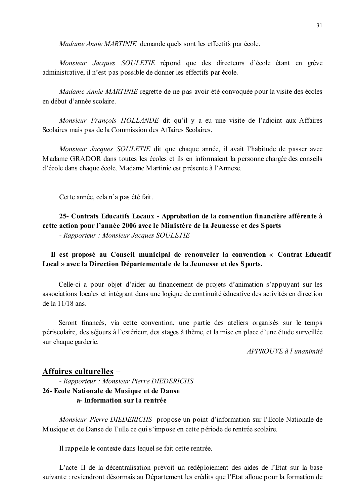Madame Annie MARTINIE demande quels sont les effectifs par école.

Monsieur Jacques SOULETIE répond que des directeurs d'école étant en grève administrative, il n'est pas possible de donner les effectifs par école.

Madame Annie MARTINIE regrette de ne pas avoir été convoquée pour la visite des écoles en début d'année scolaire.

Monsieur François HOLLANDE dit qu'il y a eu une visite de l'adjoint aux Affaires Scolaires mais pas de la Commission des Affaires Scolaires.

Monsieur Jacques SOULETIE dit que chaque année, il avait l'habitude de passer avec Madame GRADOR dans toutes les écoles et ils en informaient la personne chargée des conseils d'école dans chaque école. Madame Martinie est présente à l'Annexe.

Cette année, cela n'a pas été fait.

### 25- Contrats Educatifs Locaux - Approbation de la convention financière afférente à cette action pour l'année 2006 avec le Ministère de la Jeunesse et des Sports - Rapporteur: Monsieur Jacques SOULETIE

Il est proposé au Conseil municipal de renouveler la convention « Contrat Educatif Local » avec la Direction Départementale de la Jeunesse et des Sports.

Celle-ci a pour objet d'aider au financement de projets d'animation s'appuyant sur les associations locales et intégrant dans une logique de continuité éducative des activités en direction de la  $11/18$  ans.

Seront financés, via cette convention, une partie des ateliers organisés sur le temps périscolaire, des séjours à l'extérieur, des stages à thème, et la mise en place d'une étude surveillée sur chaque garderie.

 $APPROIIVE$ à l'unanimité

### Affaires culturelles -

## - Rapporteur: Monsieur Pierre DIEDERICHS 26- Ecole Nationale de Musique et de Danse a-Information sur la rentrée

Monsieur Pierre DIEDERICHS propose un point d'information sur l'Ecole Nationale de Musique et de Danse de Tulle ce qui s'impose en cette période de rentrée scolaire.

Il rappelle le contexte dans lequel se fait cette rentrée.

L'acte II de la décentralisation prévoit un redéploiement des aides de l'Etat sur la base suivante : reviendront désormais au Département les crédits que l'Etat alloue pour la formation de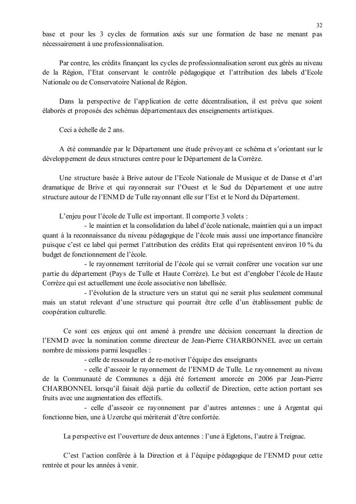base et pour les 3 cycles de formation axés sur une formation de base ne menant pas nécessairement à une professionnalisation.

Par contre, les crédits finançant les cycles de professionnalisation seront eux gérés au niveau de la Région, l'Etat conservant le contrôle pédagogique et l'attribution des labels d'Ecole Nationale ou de Conservatoire National de Région.

Dans la perspective de l'application de cette décentralisation, il est prévu que soient élaborés et proposés des schémas départementaux des enseignements artistiques.

Ceci a échelle de 2 ans

A été commandée par le Département une étude prévovant ce schéma et s'orientant sur le développement de deux structures centre pour le Département de la Corrèze.

Une structure basée à Brive autour de l'Ecole Nationale de Musique et de Danse et d'art dramatique de Brive et qui rayonnerait sur l'Ouest et le Sud du Département et une autre structure autour de l'ENMD de Tulle rayonnant elle sur l'Est et le Nord du Département.

L'enjeu pour l'école de Tulle est important. Il comporte 3 volets :

- le maintien et la consolidation du label d'école nationale, maintien qui a un impact quant à la reconnaissance du niveau pédagogique de l'école mais aussi une importance financière puisque c'est ce label qui permet l'attribution des crédits Etat qui représentent environ 10 % du budget de fonctionnement de l'école.

- le rayonnement territorial de l'école qui se verrait conférer une vocation sur une partie du département (Pays de Tulle et Haute Corrèze). Le but est d'englober l'école de Haute Corrèze qui est actuellement une école associative non labellisée.

- l'évolution de la structure vers un statut qui ne serait plus seulement communal mais un statut relevant d'une structure qui pourrait être celle d'un établissement public de coopération culturelle.

Ce sont ces enjeux qui ont amené à prendre une décision concernant la direction de l'ENMD avec la nomination comme directeur de Jean-Pierre CHARBONNEL avec un certain nombre de missions parmi lesquelles :

- celle de ressouder et de re-motiver l'équipe des enseignants

- celle d'asseoir le rayonnement de l'ENMD de Tulle. Le rayonnement au niveau de la Communauté de Communes a déjà été fortement amorcée en 2006 par Jean-Pierre CHARBONNEL lorsqu'il faisait déjà partie du collectif de Direction, cette action portant ses fruits avec une augmentation des effectifs.

- celle d'asseoir ce rayonnement par d'autres antennes : une à Argentat qui fonctionne bien, une à Uzerche qui mériterait d'être confortée.

La perspective est l'ouverture de deux antennes : l'une à Egletons, l'autre à Treignac.

C'est l'action conférée à la Direction et à l'équipe pédagogique de l'ENMD pour cette rentrée et pour les années à venir.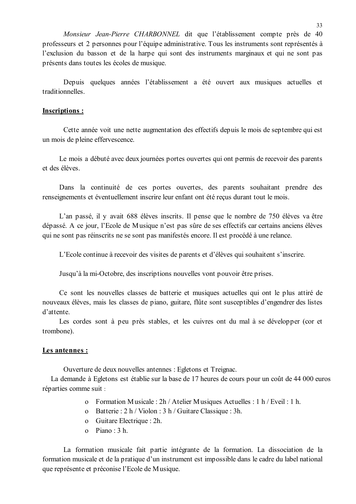Monsieur Jean-Pierre CHARBONNEL dit que l'établissement compte près de 40 professeurs et 2 personnes pour l'équipe administrative. Tous les instruments sont représentés à l'exclusion du basson et de la harpe qui sont des instruments marginaux et qui ne sont pas présents dans toutes les écoles de musique.

Depuis quelques années l'établissement a été ouvert aux musiques actuelles et traditionnelles

#### **Inscriptions:**

Cette année voit une nette augmentation des effectifs depuis le mois de septembre qui est un mois de pleine effervescence.

Le mois a débuté avec deux journées portes ouvertes qui ont permis de recevoir des parents et des élèves

Dans la continuité de ces portes ouvertes, des parents souhaitant prendre des renseignements et éventuellement inscrire leur enfant ont été reçus durant tout le mois.

L'an passé, il y avait 688 élèves inscrits. Il pense que le nombre de 750 élèves va être dépassé. A ce jour, l'Ecole de Musique n'est pas sûre de ses effectifs car certains anciens élèves qui ne sont pas réinscrits ne se sont pas manifestés encore. Il est procédé à une relance.

L'Ecole continue à recevoir des visites de parents et d'élèves qui souhaitent s'inscrire.

Jusqu'à la mi-Octobre, des inscriptions nouvelles vont pouvoir être prises.

Ce sont les nouvelles classes de batterie et musiques actuelles qui ont le plus attiré de nouveaux élèves, mais les classes de piano, guitare, flûte sont susceptibles d'engendrer des listes d'attente.

Les cordes sont à peu près stables, et les cuivres ont du mal à se développer (cor et trombone).

#### Les antennes :

Ouverture de deux nouvelles antennes : Egletons et Treignac.

La demande à Egletons est établie sur la base de 17 heures de cours pour un coût de 44 000 euros réparties comme suit :

- o Formation Musicale: 2h / Atelier Musiques Actuelles: 1 h / Eveil: 1 h.
- o Batterie: 2 h / Violon : 3 h / Guitare Classique : 3h.
- o Guitare Electrique : 2h.
- $o$  Piano  $\cdot$  3 h

La formation musicale fait partie intégrante de la formation. La dissociation de la formation musicale et de la pratique d'un instrument est impossible dans le cadre du label national que représente et préconise l'Ecole de Musique.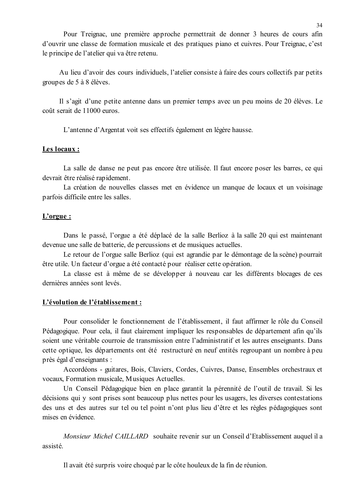Pour Treignac, une première approche permettrait de donner 3 heures de cours afin d'ouvrir une classe de formation musicale et des pratiques piano et cuivres. Pour Treignac, c'est le principe de l'atelier qui va être retenu.

Au lieu d'avoir des cours individuels, l'atelier consiste à faire des cours collectifs par petits groupes de 5 à 8 élèves.

Il s'agit d'une petite antenne dans un premier temps avec un peu moins de 20 élèves. Le coût serait de 11000 euros.

L'antenne d'Argentat voit ses effectifs également en légère hausse.

#### Les locaux :

La salle de danse ne peut pas encore être utilisée. Il faut encore poser les barres, ce qui devrait être réalisé rapidement.

La création de nouvelles classes met en évidence un manque de locaux et un voisinage parfois difficile entre les salles.

### $L'$ orgue:

Dans le passé, l'orgue a été déplacé de la salle Berlioz à la salle 20 qui est maintenant devenue une salle de batterie, de percussions et de musiques actuelles.

Le retour de l'orgue salle Berlioz (qui est agrandie par le démontage de la scène) pourrait être utile. Un facteur d'orgue a été contacté pour réaliser cette opération.

La classe est à même de se développer à nouveau car les différents blocages de ces dernières années sont levés.

#### L'évolution de l'établissement :

Pour consolider le fonctionnement de l'établissement, il faut affirmer le rôle du Conseil Pédagogique. Pour cela, il faut clairement impliquer les responsables de département afin qu'ils soient une véritable courroie de transmission entre l'administratif et les autres enseignants. Dans cette optique, les départements ont été restructuré en neuf entités regroupant un nombre à peu près égal d'enseignants :

Accordéons - guitares, Bois, Claviers, Cordes, Cuivres, Danse, Ensembles orchestraux et vocaux, Formation musicale, Musiques Actuelles.

Un Conseil Pédagogique bien en place garantit la pérennité de l'outil de travail. Si les décisions qui y sont prises sont beaucoup plus nettes pour les usagers, les diverses contestations des uns et des autres sur tel ou tel point n'ont plus lieu d'être et les règles pédagogiques sont mises en évidence

*Monsieur Michel CAILLARD* souhaite revenir sur un Conseil d'Etablissement auquel il a assisté.

Il avait été surpris voire choqué par le côte houleux de la fin de réunion.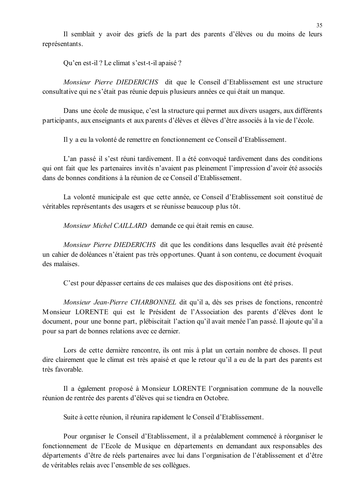Il semblait y avoir des griefs de la part des parents d'élèves ou du moins de leurs représentants.

Ou'en est-il ? Le climat s'est-t-il apaisé ?

Monsieur Pierre DIEDERICHS dit que le Conseil d'Etablissement est une structure consultative qui ne s'était pas réunie depuis plusieurs années ce qui était un manque.

Dans une école de musique, c'est la structure qui permet aux divers usagers, aux différents participants, aux enseignants et aux parents d'élèves et élèves d'être associés à la vie de l'école.

Il y a eu la volonté de remettre en fonctionnement ce Conseil d'Etablissement.

L'an passé il s'est réuni tardivement. Il a été convoqué tardivement dans des conditions qui ont fait que les partenaires invités n'avaient pas pleinement l'impression d'avoir été associés dans de bonnes conditions à la réunion de ce Conseil d'Etablissement

La volonté municipale est que cette année, ce Conseil d'Etablissement soit constitué de véritables représentants des usagers et se réunisse beaucoup plus tôt.

Monsieur Michel CAILLARD demande ce qui était remis en cause.

Monsieur Pierre DIEDERICHS dit que les conditions dans lesquelles avait été présenté un cahier de doléances n'étaient pas très opportunes. Quant à son contenu, ce document évoquait des malaises.

C'est pour dépasser certains de ces malaises que des dispositions ont été prises.

Monsieur Jean-Pierre CHARBONNEL dit qu'il a, dès ses prises de fonctions, rencontré Monsieur LORENTE qui est le Président de l'Association des parents d'élèves dont le document, pour une bonne part, plébiscitait l'action qu'il avait menée l'an passé. Il ajoute qu'il a pour sa part de bonnes relations avec ce dernier.

Lors de cette dernière rencontre, ils ont mis à plat un certain nombre de choses. Il peut dire clairement que le climat est très apaisé et que le retour qu'il a eu de la part des parents est très favorable.

Il a également proposé à Monsieur LORENTE l'organisation commune de la nouvelle réunion de rentrée des parents d'élèves qui se tiendra en Octobre.

Suite à cette réunion, il réunira rapidement le Conseil d'Etablissement.

Pour organiser le Conseil d'Etablissement, il a préalablement commencé à réorganiser le fonctionnement de l'Ecole de Musique en départements en demandant aux responsables des départements d'être de réels partenaires avec lui dans l'organisation de l'établissement et d'être de véritables relais avec l'ensemble de ses collègues.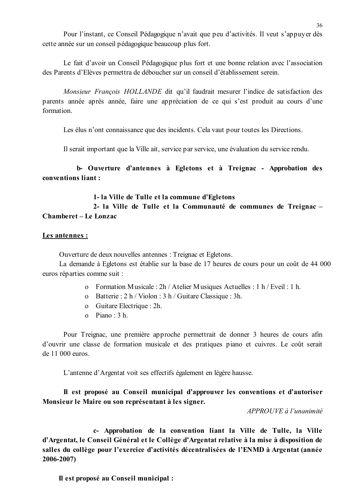Pour l'instant, ce Conseil Pédagogique n'avait que peu d'activités. Il veut s'appuyer dès cette année sur un conseil pédagogique beaucoup plus fort.

Le fait d'avoir un Conseil Pédagogique plus fort et une bonne relation avec l'association des Parents d'Elèves permettra de déboucher sur un conseil d'établissement serein.

Monsieur François HOLLANDE dit qu'il faudrait mesurer l'indice de satisfaction des parents année après année, faire une appréciation de ce qui s'est produit au cours d'une formation

Les élus n'ont connaissance que des incidents. Cela vaut pour toutes les Directions.

Il serait important que la Ville ait, service par service, une évaluation du service rendu.

b- Ouverture d'antennes à Egletons et à Treignac - Approbation des conventions liant:

#### 1-la Ville de Tulle et la commune d'Egletons

2- la Ville de Tulle et la Communauté de communes de Treignac -Chamberet – Le Lonzac

#### Les antennes :

Ouverture de deux nouvelles antennes : Treignac et Egletons.

La demande à Egletons est établie sur la base de 17 heures de cours pour un coût de 44 000 euros réparties comme suit :

- o Formation Musicale: 2h / Atelier Musiques Actuelles: 1 h / Eveil: 1 h.
- o Batterie: 2 h / Violon: 3 h / Guitare Classique: 3h.
- o Guitare Electrique : 2h.
- $o$  Piano:  $3 h$ .

Pour Treignac, une première approche permettrait de donner 3 heures de cours afin d'ouvrir une classe de formation musicale et des pratiques piano et cuivres. Le coût serait de 11 000 euros.

L'antenne d'Argentat voit ses effectifs également en légère hausse.

Il est proposé au Conseil municipal d'approuver les conventions et d'autoriser Monsieur le Maire ou son représentant à les signer.

APPROUVE à l'unanimité

c- Approbation de la convention liant la Ville de Tulle, la Ville d'Argentat, le Conseil Général et le Collège d'Argentat relative à la mise à disposition de salles du collège pour l'exercice d'activités décentralisées de l'ENMD à Argentat (année  $2006 - 2007$ 

Il est proposé au Conseil municipal :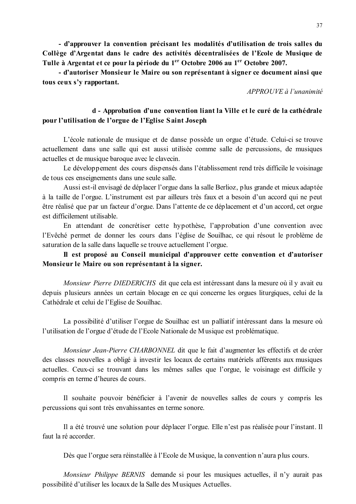- d'approuver la convention précisant les modalités d'utilisation de trois salles du Collège d'Argentat dans le cadre des activités décentralisées de l'Ecole de Musique de Tulle à Argentat et ce pour la période du 1<sup>er</sup> Octobre 2006 au 1<sup>er</sup> Octobre 2007.

- d'autoriser Monsieur le Maire ou son représentant à signer ce document ainsi que tous ceux s'y rapportant.

 $APPROUVE \d0$  l'unanimité

### d - Approbation d'une convention liant la Ville et le curé de la cathédrale pour l'utilisation de l'orgue de l'Eglise Saint Joseph

L'école nationale de musique et de danse possède un orgue d'étude. Celui-ci se trouve actuellement dans une salle qui est aussi utilisée comme salle de percussions, de musiques actuelles et de musique baroque avec le clavecin.

Le développement des cours dispensés dans l'établissement rend très difficile le voisinage de tous ces enseignements dans une seule salle.

Aussi est-il envisagé de déplacer l'orgue dans la salle Berlioz, plus grande et mieux adaptée à la taille de l'orgue. L'instrument est par ailleurs très faux et a besoin d'un accord qui ne peut être réalisé que par un facteur d'orgue. Dans l'attente de ce déplacement et d'un accord, cet orgue est difficilement utilisable.

En attendant de concrétiser cette hypothèse, l'approbation d'une convention avec l'Evêché permet de donner les cours dans l'église de Souilhac, ce qui résout le problème de saturation de la salle dans laquelle se trouve actuellement l'orgue.

## Il est proposé au Conseil municipal d'approuver cette convention et d'autoriser Monsieur le Maire ou son représentant à la signer.

Monsieur Pierre DIEDERICHS dit que cela est intéressant dans la mesure où il y avait eu depuis plusieurs années un certain blocage en ce qui concerne les orgues liturgiques, celui de la Cathédrale et celui de l'Eglise de Souilhac.

La possibilité d'utiliser l'orgue de Souilhac est un palliatif intéressant dans la mesure où l'utilisation de l'orgue d'étude de l'Ecole Nationale de Musique est problématique.

Monsieur Jean-Pierre CHARBONNEL dit que le fait d'augmenter les effectifs et de créer des classes nouvelles a obligé à investir les locaux de certains matériels afférents aux musiques actuelles. Ceux-ci se trouvant dans les mêmes salles que l'orgue, le voisinage est difficile y compris en terme d'heures de cours.

Il souhaite pouvoir bénéficier à l'avenir de nouvelles salles de cours y compris les percussions qui sont très envahissantes en terme sonore.

Il a été trouvé une solution pour déplacer l'orgue. Elle n'est pas réalisée pour l'instant. Il faut la ré accorder

Dès que l'orgue sera réinstallée à l'Ecole de Musique, la convention n'aura plus cours.

Monsieur Philippe BERNIS demande si pour les musiques actuelles, il n'y aurait pas possibilité d'utiliser les locaux de la Salle des Musiques Actuelles.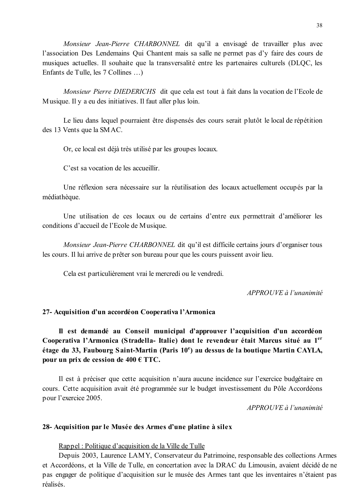Monsieur Jean-Pierre CHARBONNEL dit qu'il a envisagé de travailler plus avec l'association Des Lendemains Qui Chantent mais sa salle ne permet pas d'y faire des cours de musiques actuelles. Il souhaite que la transversalité entre les partenaires culturels (DLOC, les Enfants de Tulle, les 7 Collines ...

Monsieur Pierre DIEDERICHS dit que cela est tout à fait dans la vocation de l'Ecole de Musique. Il y a eu des initiatives. Il faut aller plus loin.

Le lieu dans lequel pourraient être dispensés des cours serait plutôt le local de répétition des 13 Vents que la SMAC.

Or, ce local est déjà très utilisé par les groupes locaux.

C'est sa vocation de les accueillir

Une réflexion sera nécessaire sur la réutilisation des locaux actuellement occupés par la médiathèque.

Une utilisation de ces locaux ou de certains d'entre eux permettrait d'améliorer les conditions d'accueil de l'Ecole de Musique.

Monsieur Jean-Pierre CHARBONNEL dit qu'il est difficile certains jours d'organiser tous les cours. Il lui arrive de prêter son bureau pour que les cours puissent avoir lieu.

Cela est particulièrement vrai le mercredi ou le vendredi.

 $APPROUVE \d{d} l'unanimit$ 

### 27- Acquisition d'un accordéon Cooperativa l'Armonica

Il est demandé au Conseil municipal d'approuver l'acquisition d'un accordéon Cooperativa l'Armonica (Stradella-Italie) dont le revendeur était Marcus situé au 1<sup>er</sup> étage du 33, Faubourg Saint-Martin (Paris 10<sup>e</sup>) au dessus de la boutique Martin CAYLA, pour un prix de cession de  $400 \text{ } \in$  TTC.

Il est à préciser que cette acquisition n'aura aucune incidence sur l'exercice budgétaire en cours. Cette acquisition avait été programmée sur le budget investissement du Pôle Accordéons pour l'exercice 2005.

APPROUVE à l'unanimité

#### 28- Acquisition par le Musée des Armes d'une platine à silex

### Rappel: Politique d'acquisition de la Ville de Tulle

Depuis 2003, Laurence LAMY, Conservateur du Patrimoine, responsable des collections Armes et Accordéons, et la Ville de Tulle, en concertation avec la DRAC du Limousin, avaient décidé de ne pas engager de politique d'acquisition sur le musée des Armes tant que les inventaires n'étaient pas réalisés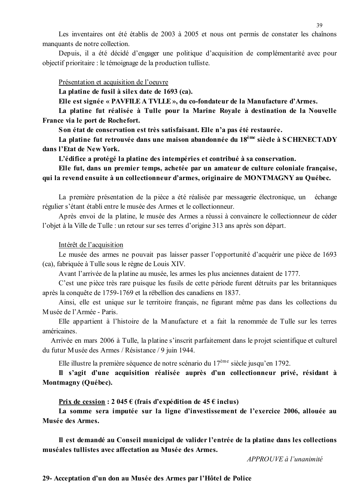Les inventaires ont été établis de 2003 à 2005 et nous ont permis de constater les chaînons manquants de notre collection.

Depuis, il a été décidé d'engager une politique d'acquisition de complémentarité avec pour objectif prioritaire : le témoignage de la production tulliste.

Présentation et acquisition de l'oeuvre

La platine de fusil à silex date de 1693 (ca).

Elle est signée « PAVFILE A TVLLE », du co-fondateur de la Manufacture d'Armes.

La platine fut réalisée à Tulle pour la Marine Royale à destination de la Nouvelle France via le port de Rochefort.

Son état de conservation est très satisfaisant. Elle n'a pas été restaurée.

La platine fut retrouvée dans une maison abandonnée du 18<sup>ème</sup> siècle à SCHENECTADY dans l'Etat de New York.

L'édifice a protégé la platine des intempéries et contribué à sa conservation.

Elle fut, dans un premier temps, achetée par un amateur de culture coloniale française, qui la revend ensuite à un collectionneur d'armes, originaire de MONTMAGNY au Québec.

La première présentation de la pièce a été réalisée par messagerie électronique, un échange régulier s'étant établi entre le musée des Armes et le collectionneur.

Après envoi de la platine, le musée des Armes a réussi à convaincre le collectionneur de céder l'objet à la Ville de Tulle : un retour sur ses terres d'origine 313 ans après son départ.

#### Intérêt de l'acquisition

Le musée des armes ne pouvait pas laisser passer l'opportunité d'acquérir une pièce de 1693 (ca), fabriquée à Tulle sous le règne de Louis XIV.

Avant l'arrivée de la platine au musée, les armes les plus anciennes dataient de 1777.

C'est une pièce très rare puisque les fusils de cette période furent détruits par les britanniques après la conquête de 1759-1769 et la rébellion des canadiens en 1837.

Ainsi, elle est unique sur le territoire français, ne figurant même pas dans les collections du Musée de l'Armée - Paris.

Elle appartient à l'histoire de la Manufacture et a fait la renommée de Tulle sur les terres américaines.

Arrivée en mars 2006 à Tulle, la platine s'inscrit parfaitement dans le projet scientifique et culturel du futur Musée des Armes / Résistance / 9 juin 1944.

Elle illustre la première séquence de notre scénario du  $17^{\text{eme}}$  siècle jusqu'en 1792.

Il s'agit d'une acquisition réalisée auprès d'un collectionneur privé, résidant à Montmagny (Québec).

Prix de cession :  $2\,045 \in$  (frais d'expédition de 45 $\in$  inclus)

La somme sera imputée sur la ligne d'investissement de l'exercice 2006, allouée au Musée des Armes.

Il est demandé au Conseil municipal de valider l'entrée de la platine dans les collections muséales tullistes avec affectation au Musée des Armes.

 $APPROIIVE \d{d} l'unanimité$ 

29- Acceptation d'un don au Musée des Armes par l'Hôtel de Police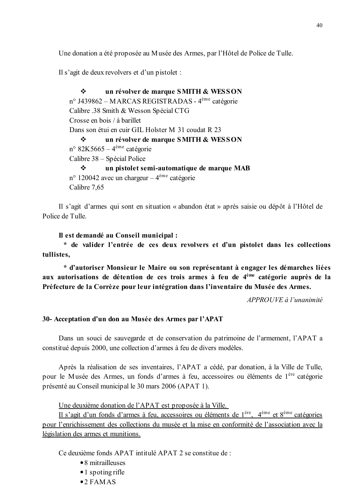Une donation a été proposée au Musée des Armes, par l'Hôtel de Police de Tulle.

Il s'agit de deux revolvers et d'un pistolet :

un révolver de marque SMITH & WESSON  $\mathbf{r}$ n° J439862 – MARCAS REGISTRADAS - 4<sup>ème</sup> catégorie Calibre .38 Smith & Wesson Spécial CTG Crosse en bois / à barillet Dans son étui en cuir GIL Holster M 31 coudat R 23  $\cdot$ un révolver de marque SMITH & WESSON  $n^{\circ}$  82K5665 – 4<sup>ème</sup> catégorie Calibre 38 – Spécial Police  $\frac{1}{2}$ un pistolet semi-automatique de marque MAB  $n^{\circ}$  120042 avec un chargeur – 4<sup>ème</sup> catégorie Calibre 7.65

Il s'agit d'armes qui sont en situation « abandon état » après saisie ou dépôt à l'Hôtel de Police de Tulle.

Il est demandé au Conseil municipal :

\* de valider l'entrée de ces deux revolvers et d'un pistolet dans les collections tullistes,

\* d'autoriser Monsieur le Maire ou son représentant à engager les démarches liées aux autorisations de détention de ces trois armes à feu de 4<sup>ème</sup> catégorie auprès de la Préfecture de la Corrèze pour leur intégration dans l'inventaire du Musée des Armes.

APPROUVE à l'unanimité

#### 30- Acceptation d'un don au Musée des Armes par l'APAT

Dans un souci de sauvegarde et de conservation du patrimoine de l'armement, l'APAT a constitué depuis 2000, une collection d'armes à feu de divers modèles.

Après la réalisation de ses inventaires, l'APAT a cédé, par donation, à la Ville de Tulle, pour le Musée des Armes, un fonds d'armes à feu, accessoires ou éléments de 1<sup>ère</sup> catégorie présenté au Conseil municipal le 30 mars 2006 (APAT 1).

Une deuxième donation de l'APAT est proposée à la Ville.

Il s'agit d'un fonds d'armes à feu, accessoires ou éléments de 1<sup>ère</sup>, 4<sup>ème</sup> et 8<sup>ème</sup> catégories pour l'enrichissement des collections du musée et la mise en conformité de l'association avec la législation des armes et munitions.

Ce deuxième fonds APAT intitulé APAT 2 se constitue de :

- 8 mitrailleuses
- $\bullet$  1 spoting rifle
- $•2$  FAMAS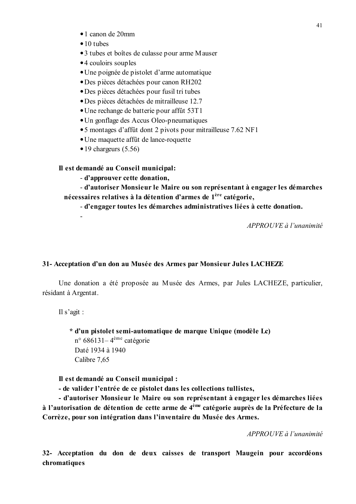- $\bullet$  1 canon de 20mm
- $\bullet$  10 tubes
- 3 tubes et boîtes de culasse pour arme Mauser
- •4 couloirs souples
- Une poignée de pistolet d'arme automatique
- Des pièces détachées pour canon RH202
- Des pièces détachées pour fusil tri tubes
- · Des pièces détachées de mitrailleuse 12.7
- Une rechange de batterie pour affût 53T1
- Un gonflage des Accus Oleo-pneumatiques
- 5 montages d'affût dont 2 pivots pour mitrailleuse 7.62 NF1
- Une maquette affût de lance-roquette
- $\bullet$  19 chargeurs (5.56)

#### Il est demandé au Conseil municipal:

- d'approuver cette donation,

- d'autoriser Monsieur le Maire ou son représentant à engager les démarches nécessaires relatives à la détention d'armes de 1<sup>ère</sup> catégorie,

- d'engager toutes les démarches administratives liées à cette donation.

APPROUVE à l'unanimité

#### 31- Acceptation d'un don au Musée des Armes par Monsieur Jules LACHEZE

Une donation a été proposée au Musée des Armes, par Jules LACHEZE, particulier, résidant à Argentat.

Il s'agit :

\* d'un pistolet semi-automatique de marque Unique (modèle Lc)  $n^{\circ}$  686131–4<sup>ème</sup> catégorie Daté 1934 à 1940 Calibre 7.65

Il est demandé au Conseil municipal :

- de valider l'entrée de ce pistolet dans les collections tullistes,

- d'autoriser Monsieur le Maire ou son représentant à engager les démarches liées à l'autorisation de détention de cette arme de 4<sup>ème</sup> catégorie auprès de la Préfecture de la Corrèze, pour son intégration dans l'inventaire du Musée des Armes.

APPROUVE à l'unanimité

32- Acceptation du don de deux caisses de transport Maugein pour accordéons chromatiques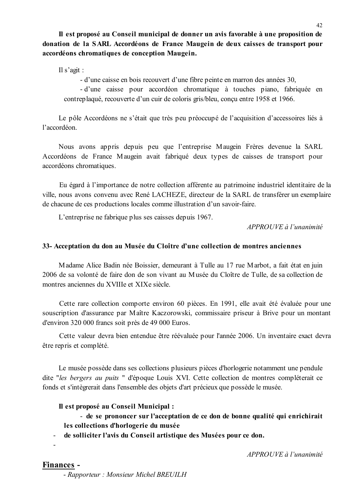Il est proposé au Conseil municipal de donner un avis favorable à une proposition de donation de la SARL Accordéons de France Maugein de deux caisses de transport pour accordéons chromatiques de conception Maugein.

Il s'agit :

- d'une caisse en bois recouvert d'une fibre peinte en marron des années 30,

- d'une caisse pour accordéon chromatique à touches piano, fabriquée en contreplaqué, recouverte d'un cuir de coloris gris/bleu, conçu entre 1958 et 1966.

Le pôle Accordéons ne s'était que très peu préoccupé de l'acquisition d'accessoires liés à l'accordéon.

Nous avons appris depuis peu que l'entreprise Maugein Frères devenue la SARL Accordéons de France Maugein avait fabriqué deux types de caisses de transport pour accordéons chromatiques.

Eu égard à l'importance de notre collection afférente au patrimoine industriel identitaire de la ville, nous avons convenu avec René LACHEZE, directeur de la SARL de transférer un exemplaire de chacune de ces productions locales comme illustration d'un savoir-faire.

L'entreprise ne fabrique plus ses caisses depuis 1967.

 $APPROIIVE$  à l'unanimité

#### 33- Acceptation du don au Musée du Cloître d'une collection de montres anciennes

Madame Alice Badin née Boissier, demeurant à Tulle au 17 rue Marbot, a fait état en juin 2006 de sa volonté de faire don de son vivant au Musée du Cloître de Tulle, de sa collection de montres anciennes du XVIIIe et XIXe siècle.

Cette rare collection comporte environ 60 pièces. En 1991, elle avait été évaluée pour une souscription d'assurance par Maître Kaczorowski, commissaire priseur à Brive pour un montant d'environ 320 000 francs soit près de 49 000 Euros.

Cette valeur devra bien entendue être réévaluée pour l'année 2006. Un inventaire exact devra être repris et complété.

Le musée possède dans ses collections plusieurs pièces d'horlogerie notamment une pendule dite "les bergers au puits " d'époque Louis XVI. Cette collection de montres compléterait ce fonds et s'intègrerait dans l'ensemble des objets d'art précieux que possède le musée.

#### Il est proposé au Conseil Municipal :

- de se prononcer sur l'acceptation de ce don de bonne qualité qui enrichirait les collections d'horlogerie du musée

- de solliciter l'avis du Conseil artistique des Musées pour ce don.

APPROUVE à l'unanimité

## Finances -

 $\mathbf{r}$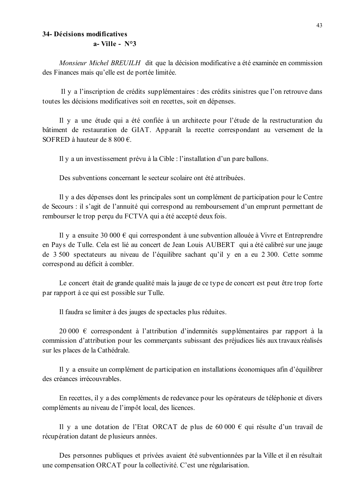# 34- Décisions modificatives

 $a$ - Ville - N°3

Monsieur Michel BREUILH dit que la décision modificative a été examinée en commission des Finances mais qu'elle est de portée limitée.

Il y a l'inscription de crédits supplémentaires : des crédits sinistres que l'on retrouve dans toutes les décisions modificatives soit en recettes, soit en dépenses.

Il y a une étude qui a été confiée à un architecte pour l'étude de la restructuration du bâtiment de restauration de GIAT. Apparaît la recette correspondant au versement de la SOFRED à hauteur de 8 800  $\epsilon$ .

Il y a un investissement prévu à la Cible : l'installation d'un pare ballons.

Des subventions concernant le secteur scolaire ont été attribuées

Il y a des dépenses dont les principales sont un complément de participation pour le Centre de Secours : il s'agit de l'annuité qui correspond au remboursement d'un emprunt permettant de rembourser le trop perçu du FCTVA qui a été accepté deux fois.

Il y a ensuite 30 000  $\epsilon$  qui correspondent à une subvention allouée à Vivre et Entreprendre en Pays de Tulle. Cela est lié au concert de Jean Louis AUBERT qui a été calibré sur une jauge de 3 500 spectateurs au niveau de l'équilibre sachant qu'il y en a eu 2 300. Cette somme correspond au déficit à combler.

Le concert était de grande qualité mais la jauge de ce type de concert est peut être trop forte par rapport à ce qui est possible sur Tulle.

Il faudra se limiter à des jauges de spectacles plus réduites.

20 000  $\in$  correspondent à l'attribution d'indemnités supplémentaires par rapport à la commission d'attribution pour les commerçants subissant des préjudices liés aux travaux réalisés sur les places de la Cathédrale.

Il y a ensuite un complément de participation en installations économiques afin d'équilibrer des créances irrécouvrables.

En recettes, il y a des compléments de redevance pour les opérateurs de téléphonie et divers compléments au niveau de l'impôt local, des licences.

Il y a une dotation de l'Etat ORCAT de plus de 60 000  $\epsilon$  qui résulte d'un travail de récupération datant de plusieurs années.

Des personnes publiques et privées avaient été subventionnées par la Ville et il en résultait une compensation ORCAT pour la collectivité. C'est une régularisation.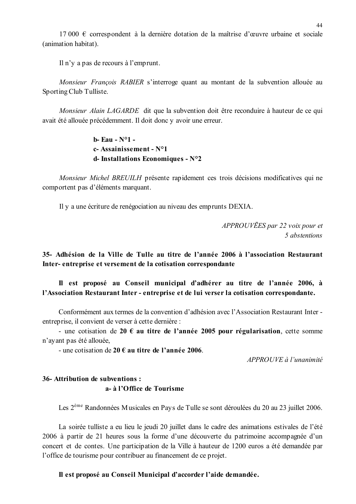17 000  $\epsilon$  correspondent à la dernière dotation de la maîtrise d'œuvre urbaine et sociale (animation habitat).

Il n'v a pas de recours à l'emprunt.

Monsieur Francois RABIER s'interroge quant au montant de la subvention allouée au Sporting Club Tulliste.

Monsieur Alain LAGARDE dit que la subvention doit être reconduire à hauteur de ce qui avait été allouée précédemment. Il doit donc y avoir une erreur.

> **b**- **Eau** - N°1 c-Assainissement -  $N^{\circ}1$ d-Installations Economiques - N°2

Monsieur Michel BREUILH présente rapidement ces trois décisions modificatives qui ne comportent pas d'éléments marquant.

Il y a une écriture de renégociation au niveau des emprunts DEXIA.

APPROUVEES par 22 voix pour et 5 abstentions

35- Adhésion de la Ville de Tulle au titre de l'année 2006 à l'association Restaurant Inter-entreprise et versement de la cotisation correspondante

Il est proposé au Conseil municipal d'adhérer au titre de l'année 2006, à l'Association Restaurant Inter - entreprise et de lui verser la cotisation correspondante.

Conformément aux termes de la convention d'adhésion avec l'Association Restaurant Interentreprise, il convient de verser à cette dernière :

- une cotisation de 20  $\epsilon$  au titre de l'année 2005 pour régularisation, cette somme n'avant pas été allouée.

- une cotisation de 20  $\epsilon$  au titre de l'année 2006.

 $APPROIIVE \d{d} l'unanimit \d{e}$ 

# 36- Attribution de subventions : a- à l'Office de Tourisme

Les 2<sup>ème</sup> Randonnées Musicales en Pays de Tulle se sont déroulées du 20 au 23 juillet 2006.

La soirée tulliste a eu lieu le jeudi 20 juillet dans le cadre des animations estivales de l'été 2006 à partir de 21 heures sous la forme d'une découverte du patrimoine accompagnée d'un concert et de contes. Une participation de la Ville à hauteur de 1200 euros a été demandée par l'office de tourisme pour contribuer au financement de ce proiet.

#### Il est proposé au Conseil Municipal d'accorder l'aide demandée.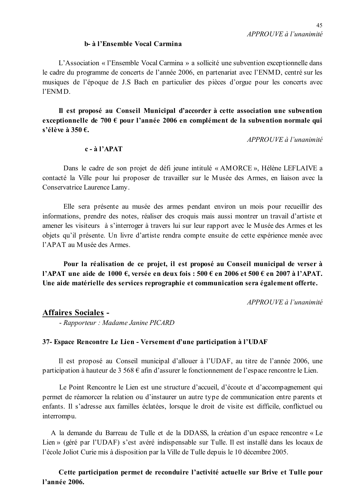#### b- à l'Ensemble Vocal Carmina

L'Association « l'Ensemble Vocal Carmina » a sollicité une subvention exceptionnelle dans le cadre du programme de concerts de l'année 2006, en partenariat avec l'ENMD, centré sur les musiques de l'époque de J.S Bach en particulier des pièces d'orgue pour les concerts avec l'ENMD

Il est proposé au Conseil Municipal d'accorder à cette association une subvention exceptionnelle de 700  $\epsilon$  pour l'année 2006 en complément de la subvention normale qui s'élève à 350  $\epsilon$ .

APPROUVE à l'unanimité

### $c - \hat{a}$  l'APAT

Dans le cadre de son projet de défi jeune intitulé « AMORCE », Hélène LEFLAIVE a contacté la Ville pour lui proposer de travailler sur le Musée des Armes, en liaison avec la Conservatrice Laurence Lamy.

Elle sera présente au musée des armes pendant environ un mois pour recueillir des informations, prendre des notes, réaliser des croquis mais aussi montrer un travail d'artiste et amener les visiteurs à s'interroger à travers lui sur leur rapport avec le Musée des Armes et les objets qu'il présente. Un livre d'artiste rendra compte ensuite de cette expérience menée avec l'APAT au Musée des Armes.

Pour la réalisation de ce projet, il est proposé au Conseil municipal de verser à l'APAT une aide de 1000 €, versée en deux fois : 500 € en 2006 et 500 € en 2007 à l'APAT. Une aide matérielle des services reprographie et communication sera également offerte.

APPROUVE à l'unanimité

## **Affaires Sociales -**

- Rapporteur : Madame Janine PICARD

#### 37- Espace Rencontre Le Lien - Versement d'une participation à l'UDAF

Il est proposé au Conseil municipal d'allouer à l'UDAF, au titre de l'année 2006, une participation à hauteur de 3 568  $\epsilon$  afin d'assurer le fonctionnement de l'espace rencontre le Lien.

Le Point Rencontre le Lien est une structure d'accueil, d'écoute et d'accompagnement qui permet de réamorcer la relation ou d'instaurer un autre type de communication entre parents et enfants. Il s'adresse aux familles éclatées, lorsque le droit de visite est difficile, conflictuel ou interrompu.

A la demande du Barreau de Tulle et de la DDASS, la création d'un espace rencontre « Le Lien » (géré par l'UDAF) s'est avéré indispensable sur Tulle. Il est installé dans les locaux de l'école Joliot Curie mis à disposition par la Ville de Tulle depuis le 10 décembre 2005.

Cette participation permet de reconduire l'activité actuelle sur Brive et Tulle pour l'année 2006.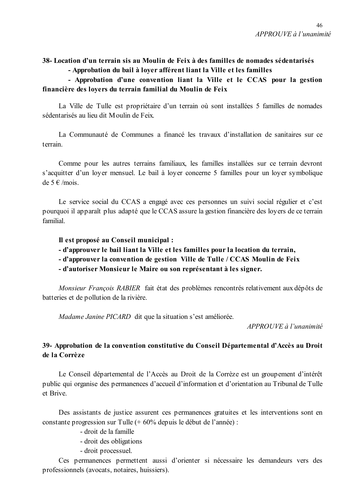38- Location d'un terrain sis au Moulin de Feix à des familles de nomades sédentarisés

- Approbation du bail à lover afférent liant la Ville et les familles

## - Approbation d'une convention liant la Ville et le CCAS pour la gestion financière des lovers du terrain familial du Moulin de Feix

La Ville de Tulle est propriétaire d'un terrain où sont installées 5 familles de nomades sédentarisés au lieu dit Moulin de Feix.

La Communauté de Communes a financé les travaux d'installation de sanitaires sur ce terrain

Comme pour les autres terrains familiaux, les familles installées sur ce terrain devront s'acquitter d'un loyer mensuel. Le bail à loyer concerne 5 familles pour un loyer symbolique de 5  $\in$ /mois.

Le service social du CCAS a engagé avec ces personnes un suivi social régulier et c'est pourquoi il apparaît plus adapté que le CCAS assure la gestion financière des loyers de ce terrain familial

Il est proposé au Conseil municipal :

- d'approuver le bail liant la Ville et les familles pour la location du terrain,
- d'approuver la convention de gestion Ville de Tulle / CCAS Moulin de Feix
- d'autoriser Monsieur le Maire ou son représentant à les signer.

Monsieur François RABIER fait état des problèmes rencontrés relativement aux dépôts de batteries et de pollution de la rivière.

Madame Janine PICARD dit que la situation s'est améliorée.

 $APPROIIVE$ à l'unanimité

## 39- Approbation de la convention constitutive du Conseil Départemental d'Accès au Droit de la Corrèze

Le Conseil départemental de l'Accès au Droit de la Corrèze est un groupement d'intérêt public qui organise des permanences d'accueil d'information et d'orientation au Tribunal de Tulle et Brive.

Des assistants de justice assurent ces permanences gratuites et les interventions sont en constante progression sur Tulle (+ 60% depuis le début de l'année) :

- droit de la famille
- droit des obligations
- droit processuel.

Ces permanences permettent aussi d'orienter si nécessaire les demandeurs vers des professionnels (avocats, notaires, huissiers).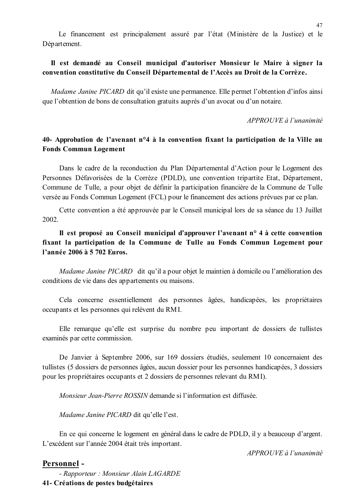## Il est demandé au Conseil municipal d'autoriser Monsieur le Maire à signer la convention constitutive du Conseil Départemental de l'Accès au Droit de la Corrèze.

*Madame Janine PICARD* dit qu'il existe une permanence. Elle permet l'obtention d'infos ainsi que l'obtention de bons de consultation gratuits auprès d'un avocat ou d'un notaire.

APPROUVE à l'unanimité

## 40- Approbation de l'avenant n°4 à la convention fixant la participation de la Ville au **Fonds Commun Logement**

Dans le cadre de la reconduction du Plan Départemental d'Action pour le Logement des Personnes Défavorisées de la Corrèze (PDLD), une convention tripartite Etat, Département, Commune de Tulle, a pour objet de définir la participation financière de la Commune de Tulle versée au Fonds Commun Logement (FCL) pour le financement des actions prévues par ce plan.

Cette convention a été approuvée par le Conseil municipal lors de sa séance du 13 Juillet  $2002.$ 

# Il est proposé au Conseil municipal d'approuver l'avenant n° 4 à cette convention fixant la participation de la Commune de Tulle au Fonds Commun Logement pour l'année 2006 à 5 702 Euros.

Madame Janine PICARD dit qu'il a pour objet le maintien à domicile ou l'amélioration des conditions de vie dans des appartements ou maisons.

Cela concerne essentiellement des personnes âgées, handicapées, les propriétaires occupants et les personnes qui relèvent du RMI.

Elle remarque qu'elle est surprise du nombre peu important de dossiers de tullistes examinés par cette commission.

De Janvier à Septembre 2006, sur 169 dossiers étudiés, seulement 10 concernaient des tullistes (5 dossiers de personnes âgées, aucun dossier pour les personnes handicapées, 3 dossiers pour les propriétaires occupants et 2 dossiers de personnes relevant du RMI.

*Monsieur Jean-Pierre ROSSIN* demande si l'information est diffusée.

Madame Janine PICARD dit qu'elle l'est.

En ce qui concerne le logement en général dans le cadre de PDLD, il y a beaucoup d'argent. L'excédent sur l'année 2004 était très important.

APPROUVE à l'unanimité

## Personnel-

- Rapporteur: Monsieur Alain LAGARDE 41- Créations de postes budgétaires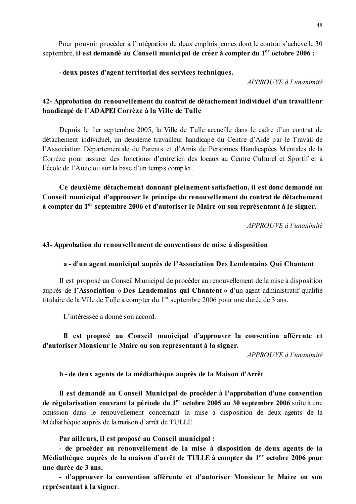Pour pouvoir procéder à l'intégration de deux emplois jeunes dont le contrat s'achève le 30 septembre, il est demandé au Conseil municipal de créer à compter du 1<sup>er</sup> octobre 2006 :

- deux postes d'agent territorial des services techniques.

APPROUVE à l'unanimité

## 42- Approbation du renouvellement du contrat de détachement individuel d'un travailleur handicapé de l'ADAPEI Corrèze à la Ville de Tulle

Depuis le 1er septembre 2005, la Ville de Tulle accueille dans le cadre d'un contrat de détachement individuel, un deuxième travailleur handicapé du Centre d'Aide par le Travail de l'Association Départementale de Parents et d'Amis de Personnes Handicapées Mentales de la Corrèze pour assurer des fonctions d'entretien des locaux au Centre Culturel et Sportif et à l'école de l'Auzelou sur la base d'un temps complet.

Ce deuxième détachement donnant pleinement satisfaction, il est donc demandé au Conseil municipal d'approuver le principe du renouvellement du contrat de détachement à compter du 1<sup>er</sup> septembre 2006 et d'autoriser le Maire ou son représentant à le signer.

APPROUVE à l'unanimité

#### 43- Approbation du renouvellement de conventions de mise à disposition

#### a - d'un agent municipal auprès de l'Association Des Lendemains Qui Chantent

Il est proposé au Conseil Municipal de procéder au renouvellement de la mise à disposition auprès de l'Association « Des Lendemains qui Chantent » d'un agent administratif qualifié titulaire de la Ville de Tulle à compter du 1<sup>er</sup> septembre 2006 pour une durée de 3 ans.

L'intéressée a donné son accord.

### Il est proposé au Conseil municipal d'approuver la convention afférente et d'autoriser Monsieur le Maire ou son représentant à la signer.

APPROUVE à l'unanimité

#### b - de deux agents de la médiathèque auprès de la Maison d'Arrêt

Il est demandé au Conseil Municipal de procéder à l'approbation d'une convention de régularisation couvrant la période du 1<sup>er</sup> octobre 2005 au 30 septembre 2006 suite à une omission dans le renouvellement concernant la mise à disposition de deux agents de la Médiathèque auprès de la maison d'arrêt de TULLE.

Par ailleurs, il est proposé au Conseil municipal :

- de procéder au renouvellement de la mise à disposition de deux agents de la Médiathèque auprès de la maison d'arrêt de TULLE à compter du 1<sup>er</sup> octobre 2006 pour une durée de 3 ans.

- d'approuver la convention afférente et d'autoriser Monsieur le Maire ou son représentant à la signer.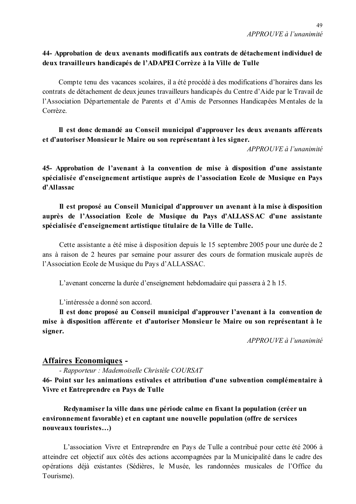## 44- Approbation de deux avenants modificatifs aux contrats de détachement individuel de deux travailleurs handicapés de l'ADAPEI Corrèze à la Ville de Tulle

Compte tenu des vacances scolaires, il a été procédé à des modifications d'horaires dans les contrats de détachement de deux jeunes travailleurs handicapés du Centre d'Aide par le Travail de l'Association Départementale de Parents et d'Amis de Personnes Handicapées Mentales de la Corrèze

Il est donc demandé au Conseil municipal d'approuver les deux avenants afférents et d'autoriser Monsieur le Maire ou son représentant à les signer.

APPROUVE à l'unanimité

45- Approbation de l'avenant à la convention de mise à disposition d'une assistante spécialisée d'enseignement artistique auprès de l'association Ecole de Musique en Pays d'Allassac

Il est proposé au Conseil Municipal d'approuver un avenant à la mise à disposition auprès de l'Association Ecole de Musique du Pays d'ALLASSAC d'une assistante spécialisée d'enseignement artistique titulaire de la Ville de Tulle.

Cette assistante a été mise à disposition depuis le 15 septembre 2005 pour une durée de 2 ans à raison de 2 heures par semaine pour assurer des cours de formation musicale auprès de l'Association Ecole de Musique du Pays d'ALLASSAC.

L'avenant concerne la durée d'enseignement hebdomadaire qui passera à 2 h 15.

L'intéressée a donné son accord.

Il est donc proposé au Conseil municipal d'approuver l'avenant à la convention de mise à disposition afférente et d'autoriser Monsieur le Maire ou son représentant à le signer.

APPROUVE à l'unanimité

## **Affaires Economiques -**

- Rapporteur : Mademoiselle Christèle COURSAT

46- Point sur les animations estivales et attribution d'une subvention complémentaire à Vivre et Entreprendre en Pays de Tulle

Redynamiser la ville dans une période calme en fixant la population (créer un environnement favorable) et en captant une nouvelle population (offre de services nouveaux touristes...)

L'association Vivre et Entreprendre en Pays de Tulle a contribué pour cette été 2006 à atteindre cet objectif aux côtés des actions accompagnées par la Municipalité dans le cadre des opérations déjà existantes (Sédières, le Musée, les randonnées musicales de l'Office du Tourisme).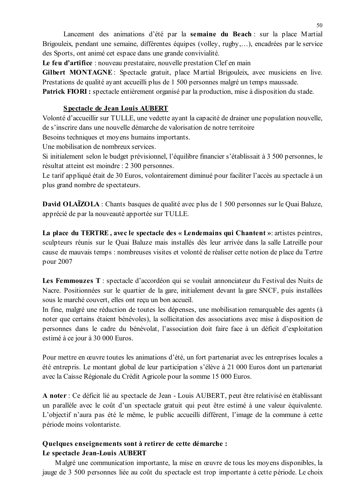Lancement des animations d'été par la semaine du Beach : sur la place Martial Brigouleix, pendant une semaine, différentes équipes (volley, rugby,...), encadrées par le service des Sports, ont animé cet espace dans une grande convivialité.

Le feu d'artifice : nouveau prestataire, nouvelle prestation Clef en main

Gilbert MONTAGNE: Spectacle gratuit, place Martial Brigouleix, avec musiciens en live. Prestations de qualité avant accueilli plus de 1 500 personnes malgré un temps maussade.

Patrick FIORI: spectacle entièrement organisé par la production, mise à disposition du stade.

### Spectacle de Jean Louis AUBERT

Volonté d'accueillir sur TULLE, une vedette ayant la capacité de drainer une population nouvelle. de s'inscrire dans une nouvelle démarche de valorisation de notre territoire

Besoins techniques et moyens humains importants.

Une mobilisation de nombreux services.

Si initialement selon le budget prévisionnel. l'équilibre financier s'établissait à 3 500 personnes, le résultat atteint est moindre : 2 300 personnes.

Le tarif appliqué était de 30 Euros, volontairement diminué pour faciliter l'accès au spectacle à un plus grand nombre de spectateurs.

David OLAÏZOLA : Chants basques de qualité avec plus de 1 500 personnes sur le Quai Baluze, apprécié de par la nouveauté apportée sur TULLE.

La place du TERTRE, avec le spectacle des « Lendemains qui Chantent »: artistes peintres, sculpteurs réunis sur le Quai Baluze mais installés dès leur arrivée dans la salle Latreille pour cause de mauvais temps : nombreuses visites et volonté de réaliser cette notion de place du Tertre pour 2007

Les Femmouzes T : spectacle d'accordéon qui se voulait annonciateur du Festival des Nuits de Nacre. Positionnées sur le quartier de la gare, initialement devant la gare SNCF, puis installées sous le marché couvert, elles ont reçu un bon accueil.

In fine, malgré une réduction de toutes les dépenses, une mobilisation remarquable des agents (à noter que certains étaient bénévoles), la sollicitation des associations avec mise à disposition de personnes dans le cadre du bénévolat, l'association doit faire face à un déficit d'exploitation estimé à ce jour à 30 000 Euros.

Pour mettre en œuvre toutes les animations d'été, un fort partenariat avec les entreprises locales a été entrepris. Le montant global de leur participation s'élève à 21 000 Euros dont un partenariat avec la Caisse Régionale du Crédit Agricole pour la somme 15 000 Euros.

A noter : Ce déficit lié au spectacle de Jean - Louis AUBERT, peut être relativisé en établissant un parallèle avec le coût d'un spectacle gratuit qui peut être estimé à une valeur équivalente. L'objectif n'aura pas été le même, le public accueilli différent, l'image de la commune à cette période moins volontariste.

## Quelques enseignements sont à retirer de cette démarche : Le spectacle Jean-Louis AUBERT

Malgré une communication importante, la mise en œuvre de tous les moyens disponibles, la jauge de 3 500 personnes liée au coût du spectacle est trop importante à cette période. Le choix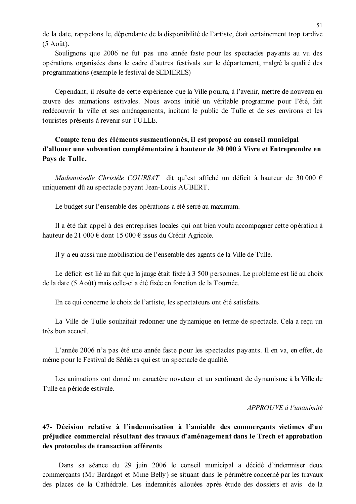de la date, rappelons le, dépendante de la disponibilité de l'artiste, était certainement trop tardive  $(5$  Août).

Soulignons que 2006 ne fut pas une année faste pour les spectacles payants au vu des opérations organisées dans le cadre d'autres festivals sur le département, malgré la qualité des programmations (exemple le festival de SEDIERES)

Cependant, il résulte de cette expérience que la Ville pourra, à l'avenir, mettre de nouveau en œuvre des animations estivales. Nous avons initié un véritable programme pour l'été, fait redécouvrir la ville et ses aménagements, incitant le public de Tulle et de ses environs et les touristes présents à revenir sur TULLE.

## Compte tenu des éléments susmentionnés, il est proposé au conseil municipal d'allouer une subvention complémentaire à hauteur de 30 000 à Vivre et Entreprendre en Pays de Tulle.

Mademoiselle Christèle COURSAT dit qu'est affiché un déficit à hauteur de 30 000  $\epsilon$ uniquement dû au spectacle payant Jean-Louis AUBERT.

Le budget sur l'ensemble des opérations a été serré au maximum.

Il a été fait appel à des entreprises locales qui ont bien voulu accompagner cette opération à hauteur de 21 000 € dont 15 000 € issus du Crédit Agricole.

Il y a eu aussi une mobilisation de l'ensemble des agents de la Ville de Tulle.

Le déficit est lié au fait que la jauge était fixée à 3 500 personnes. Le problème est lié au choix de la date (5 Août) mais celle-ci a été fixée en fonction de la Tournée.

En ce qui concerne le choix de l'artiste, les spectateurs ont été satisfaits.

La Ville de Tulle souhaitait redonner une dynamique en terme de spectacle. Cela a reçu un très bon accueil.

L'année 2006 n'a pas été une année faste pour les spectacles payants. Il en va, en effet, de même pour le Festival de Sédières qui est un spectacle de qualité.

Les animations ont donné un caractère novateur et un sentiment de dynamisme à la Ville de Tulle en période estivale.

#### APPROUVE à l'unanimité

# 47- Décision relative à l'indemnisation à l'amiable des commerçants victimes d'un préjudice commercial résultant des travaux d'aménagement dans le Trech et approbation des protocoles de transaction afférents

Dans sa séance du 29 juin 2006 le conseil municipal a décidé d'indemniser deux commerçants (Mr Bardagot et Mme Belly) se situant dans le périmètre concerné par les travaux des places de la Cathédrale. Les indemnités allouées après étude des dossiers et avis de la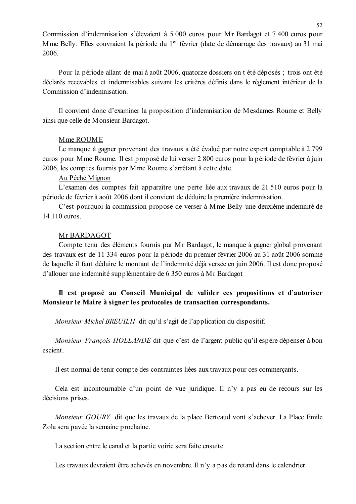Commission d'indemnisation s'élevaient à 5 000 euros pour Mr Bardagot et 7 400 euros pour Mme Belly. Elles couvraient la période du 1<sup>er</sup> février (date de démarrage des travaux) au 31 mai 2006.

Pour la période allant de mai à août 2006, quatorze dossiers on t été déposés; trois ont été déclarés recevables et indemnisables suivant les critères définis dans le règlement intérieur de la Commission d'indemnisation

Il convient donc d'examiner la proposition d'indemnisation de Mesdames Roume et Belly ainsi que celle de Monsieur Bardagot.

#### Mme ROUME

Le manque à gagner provenant des travaux a été évalué par notre expert comptable à 2799 euros pour Mme Roume. Il est proposé de lui verser 2 800 euros pour la période de février à juin 2006, les comptes fournis par M me Roume s'arrêtant à cette date.

#### Au Péché Mignon

L'examen des comptes fait apparaître une perte liée aux travaux de 21 510 euros pour la période de février à août 2006 dont il convient de déduire la première indemnisation.

C'est pourquoi la commission propose de verser à Mme Belly une deuxième indemnité de 14 110 euros.

#### Mr BARDAGOT

Compte tenu des éléments fournis par Mr Bardagot, le manque à gagner global provenant des travaux est de 11 334 euros pour la période du premier février 2006 au 31 août 2006 somme de laquelle il faut déduire le montant de l'indemnité déjà versée en juin 2006. Il est donc proposé d'allouer une indemnité supplémentaire de 6 350 euros à Mr Bardagot

## Il est proposé au Conseil Municipal de valider ces propositions et d'autoriser Monsieur le Maire à signer les protocoles de transaction correspondants.

*Monsieur Michel BREUILH* dit qu'il s'agit de l'application du dispositif.

Monsieur François HOLLANDE dit que c'est de l'argent public qu'il espère dépenser à bon escient.

Il est normal de tenir compte des contraintes liées aux travaux pour ces commerçants.

Cela est incontournable d'un point de vue juridique. Il n'y a pas eu de recours sur les décisions prises.

Monsieur GOURY dit que les travaux de la place Berteaud vont s'achever. La Place Emile Zola sera pavée la semaine prochaine.

La section entre le canal et la partie voirie sera faite ensuite.

Les travaux devraient être achevés en novembre. Il n'y a pas de retard dans le calendrier.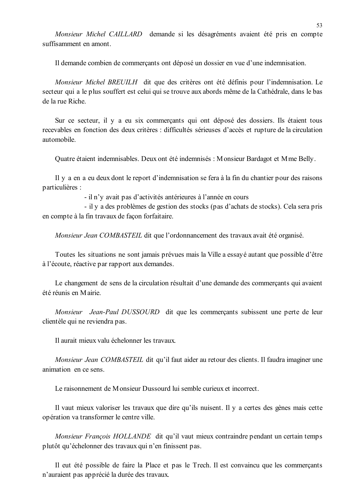Monsieur Michel CAILLARD demande si les désagréments avaient été pris en compte suffisamment en amont

Il demande combien de commercants ont déposé un dossier en vue d'une indemnisation.

Monsieur Michel BREUILH dit que des critères ont été définis pour l'indemnisation. Le secteur qui a le plus souffert est celui qui se trouve aux abords même de la Cathédrale, dans le bas de la rue Riche

Sur ce secteur, il y a eu six commercants qui ont déposé des dossiers. Ils étaient tous recevables en fonction des deux critères : difficultés sérieuses d'accès et rupture de la circulation automobile

Quatre étaient indemnisables. Deux ont été indemnisés : Monsieur Bardagot et Mme Belly.

Il y a en a eu deux dont le report d'indemnisation se fera à la fin du chantier pour des raisons particulières :

- il n'y avait pas d'activités antérieures à l'année en cours

- il y a des problèmes de gestion des stocks (pas d'achats de stocks). Cela sera pris en compte à la fin travaux de façon forfaitaire.

*Monsieur Jean COMBASTEIL* dit que l'ordonnancement des travaux avait été organisé.

Toutes les situations ne sont jamais prévues mais la Ville a essayé autant que possible d'être à l'écoute, réactive par rapport aux demandes.

Le changement de sens de la circulation résultait d'une demande des commerçants qui avaient été réunis en Mairie

Monsieur Jean-Paul DUSSOURD dit que les commerçants subissent une perte de leur clientèle qui ne reviendra pas.

Il aurait mieux valu échelonner les travaux.

Monsieur Jean COMBASTEIL dit qu'il faut aider au retour des clients. Il faudra imaginer une animation en ce sens.

Le raisonnement de Monsieur Dussourd lui semble curieux et incorrect.

Il vaut mieux valoriser les travaux que dire qu'ils nuisent. Il y a certes des gènes mais cette opération va transformer le centre ville.

Monsieur François HOLLANDE dit qu'il vaut mieux contraindre pendant un certain temps plutôt qu'échelonner des travaux qui n'en finissent pas.

Il eut été possible de faire la Place et pas le Trech. Il est convaincu que les commerçants n'auraient pas apprécié la durée des travaux.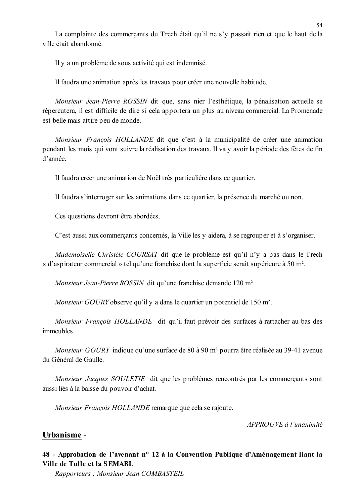La complainte des commerçants du Trech était qu'il ne s'y passait rien et que le haut de la ville était abandonné

Il v a un problème de sous activité qui est indemnisé.

Il faudra une animation après les travaux pour créer une nouvelle habitude.

Monsieur Jean-Pierre ROSSIN dit que, sans nier l'esthétique, la pénalisation actuelle se répercutera, il est difficile de dire si cela apportera un plus au niveau commercial. La Promenade est belle mais attire peu de monde.

Monsieur François HOLLANDE dit que c'est à la municipalité de créer une animation pendant les mois qui vont suivre la réalisation des travaux. Il va v avoir la période des fêtes de fin d'année

Il faudra créer une animation de Noël très particulière dans ce quartier.

Il faudra s'interroger sur les animations dans ce quartier, la présence du marché ou non.

Ces questions devront être abordées.

C'est aussi aux commerçants concernés, la Ville les y aidera, à se regrouper et à s'organiser.

Mademoiselle Christèle COURSAT dit que le problème est qu'il n'y a pas dans le Trech « d'aspirateur commercial » tel qu'une franchise dont la superficie serait supérieure à 50 m<sup>2</sup>.

Monsieur Jean-Pierre ROSSIN dit qu'une franchise demande 120 m<sup>2</sup>.

*Monsieur GOURY* observe qu'il y a dans le quartier un potentiel de 150 m<sup>2</sup>.

Monsieur François HOLLANDE dit qu'il faut prévoir des surfaces à rattacher au bas des immeubles.

*Monsieur GOURY* indique qu'une surface de 80 à 90 m<sup>2</sup> pourra être réalisée au 39-41 avenue du Général de Gaulle

Monsieur Jacques SOULETIE dit que les problèmes rencontrés par les commerçants sont aussi liés à la baisse du pouvoir d'achat.

Monsieur François HOLLANDE remarque que cela se rajoute.

APPROUVE à l'unanimité

#### Urbanisme -

## 48 - Approbation de l'avenant n° 12 à la Convention Publique d'Aménagement liant la Ville de Tulle et la SEMABL

Rapporteurs: Monsieur Jean COMBASTEIL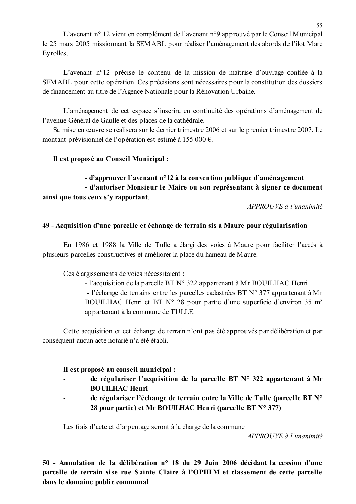L'avenant n° 12 vient en complément de l'avenant n°9 approuvé par le Conseil Municipal le 25 mars 2005 missionnant la SEMABL pour réaliser l'aménagement des abords de l'îlot Marc Evrolles.

L'avenant n°12 précise le contenu de la mission de maîtrise d'ouvrage confiée à la SEMABL pour cette opération. Ces précisions sont nécessaires pour la constitution des dossiers de financement au titre de l'Agence Nationale pour la Rénovation Urbaine.

L'aménagement de cet espace s'inscrira en continuité des opérations d'aménagement de l'avenue Général de Gaulle et des places de la cathédrale.

Sa mise en œuvre se réalisera sur le dernier trimestre 2006 et sur le premier trimestre 2007. Le montant prévisionnel de l'opération est estimé à 155 000 €.

### Il est proposé au Conseil Municipal :

# - d'approuver l'avenant n°12 à la convention publique d'aménagement - d'autoriser Monsieur le Maire ou son représentant à signer ce document ainsi que tous ceux s'y rapportant.

APPROUVE à l'unanimité

### 49 - Acquisition d'une parcelle et échange de terrain sis à Maure pour régularisation

En 1986 et 1988 la Ville de Tulle a élargi des voies à Maure pour faciliter l'accès à plusieurs parcelles constructives et améliorer la place du hameau de Maure.

Ces élargissements de voies nécessitaient :

- l'acquisition de la parcelle BT  $N^{\circ}$  322 appartenant à Mr BOUILHAC Henri - l'échange de terrains entre les parcelles cadastrées BT  $N^{\circ}$  377 appartenant à Mr BOUILHAC Henri et BT N° 28 pour partie d'une superficie d'environ 35 m<sup>2</sup> appartenant à la commune de TULLE.

Cette acquisition et cet échange de terrain n'ont pas été approuvés par délibération et par conséquent aucun acte notarié n'a été établi.

### Il est proposé au conseil municipal :

- de régulariser l'acquisition de la parcelle BT N° 322 appartenant à Mr **BOUILHAC Henri**
- de régulariser l'échange de terrain entre la Ville de Tulle (parcelle BT N° 28 pour partie) et Mr BOUILHAC Henri (parcelle BT N° 377)

Les frais d'acte et d'arpentage seront à la charge de la commune

APPROUVE à l'unanimité

50 - Annulation de la délibération n° 18 du 29 Juin 2006 décidant la cession d'une parcelle de terrain sise rue Sainte Claire à l'OPHLM et classement de cette parcelle dans le domaine public communal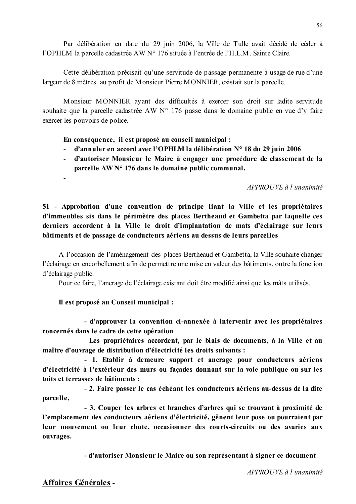Par délibération en date du 29 juin 2006, la Ville de Tulle avait décidé de céder à l'OPHLM la parcelle cadastrée AW N° 176 située à l'entrée de l'H.L.M. Sainte Claire.

Cette délibération précisait qu'une servitude de passage permanente à usage de rue d'une largeur de 8 mètres au profit de Monsieur Pierre MONNIER, existait sur la parcelle.

Monsieur MONNIER ayant des difficultés à exercer son droit sur ladite servitude souhaite que la parcelle cadastrée AW N° 176 passe dans le domaine public en vue d'y faire exercer les pouvoirs de police.

En conséquence, il est proposé au conseil municipal :

- d'annuler en accord avec l'OPHLM la délibération N° 18 du 29 juin 2006
- d'autoriser Monsieur le Maire à engager une procédure de classement de la  $\omega_{\rm{max}}$ parcelle  $AWN<sup>o</sup> 176$  dans le domaine public communal.

APPROUVE à l'unanimité

51 - Approbation d'une convention de principe liant la Ville et les propriétaires d'immeubles sis dans le périmètre des places Bertheaud et Gambetta par laquelle ces derniers accordent à la Ville le droit d'implantation de mats d'éclairage sur leurs bâtiments et de passage de conducteurs aériens au dessus de leurs parcelles

A l'occasion de l'aménagement des places Bertheaud et Gambetta, la Ville souhaite changer l'éclairage en encorbellement afin de permettre une mise en valeur des bâtiments, outre la fonction d'éclairage public.

Pour ce faire, l'ancrage de l'éclairage existant doit être modifié ainsi que les mâts utilisés.

Il est proposé au Conseil municipal :

- d'approuver la convention ci-annexée à intervenir avec les propriétaires concernés dans le cadre de cette opération

Les propriétaires accordent, par le biais de documents, à la Ville et au maître d'ouvrage de distribution d'électricité les droits suivants :

- 1. Etablir à demeure support et ancrage pour conducteurs aériens d'électricité à l'extérieur des murs ou façades donnant sur la voie publique ou sur les toits et terrasses de bâtiments;

- 2. Faire passer le cas échéant les conducteurs aériens au-dessus de la dite parcelle.

- 3. Couper les arbres et branches d'arbres qui se trouvant à proximité de l'emplacement des conducteurs aériens d'électricité, gênent leur pose ou pourraient par leur mouvement ou leur chute, occasionner des courts-circuits ou des avaries aux ouvrages.

- d'autoriser Monsieur le Maire ou son représentant à signer ce document

# Affaires Générales -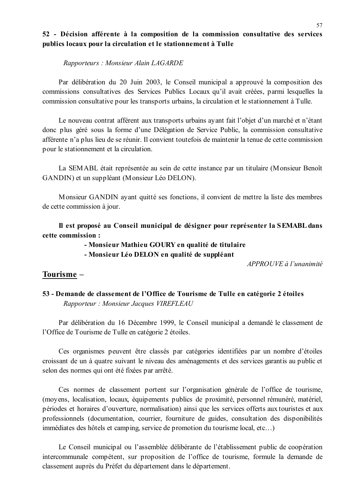### 52 - Décision afférente à la composition de la commission consultative des services publics locaux pour la circulation et le stationnement à Tulle

Rapporteurs: Monsieur Alain LAGARDE

Par délibération du 20 Juin 2003, le Conseil municipal a approuvé la composition des commissions consultatives des Services Publics Locaux qu'il avait créées, parmi lesquelles la commission consultative pour les transports urbains, la circulation et le stationnement à Tulle.

Le nouveau contrat afférent aux transports urbains avant fait l'objet d'un marché et n'étant donc plus géré sous la forme d'une Délégation de Service Public, la commission consultative afférente n'a plus lieu de se réunir. Il convient toutefois de maintenir la tenue de cette commission pour le stationnement et la circulation.

La SEMABL était représentée au sein de cette instance par un titulaire (Monsieur Benoît GANDIN) et un suppléant (Monsieur Léo DELON).

Monsieur GANDIN ayant quitté ses fonctions, il convient de mettre la liste des membres de cette commission à jour.

Il est proposé au Conseil municipal de désigner pour représenter la SEMABL dans cette commission :

- Monsieur Mathieu GOURY en qualité de titulaire

- Monsieur Léo DELON en qualité de suppléant

APPROUVE à l'unanimité

## Tourisme -

53 - Demande de classement de l'Office de Tourisme de Tulle en catégorie 2 étoiles Rapporteur: Monsieur Jacques VIREFLEAU

Par délibération du 16 Décembre 1999, le Conseil municipal a demandé le classement de l'Office de Tourisme de Tulle en catégorie 2 étoiles.

Ces organismes peuvent être classés par catégories identifiées par un nombre d'étoiles croissant de un à quatre suivant le niveau des aménagements et des services garantis au public et selon des normes qui ont été fixées par arrêté.

Ces normes de classement portent sur l'organisation générale de l'office de tourisme, (moyens, localisation, locaux, équipements publics de proximité, personnel rémunéré, matériel, périodes et horaires d'ouverture, normalisation) ainsi que les services offerts aux touristes et aux professionnels (documentation, courrier, fourniture de guides, consultation des disponibilités immédiates des hôtels et camping, service de promotion du tourisme local, etc...)

Le Conseil municipal ou l'assemblée délibérante de l'établissement public de coopération intercommunale compétent, sur proposition de l'office de tourisme, formule la demande de classement auprès du Préfet du département dans le département.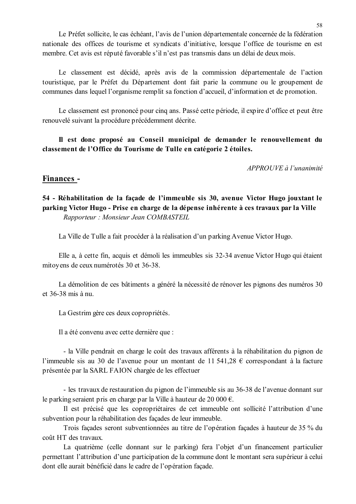Le Préfet sollicite, le cas échéant, l'avis de l'union départementale concernée de la fédération nationale des offices de tourisme et syndicats d'initiative, lorsque l'office de tourisme en est membre. Cet avis est réputé favorable s'il n'est pas transmis dans un délai de deux mois.

Le classement est décidé, après avis de la commission départementale de l'action touristique, par le Préfet du Département dont fait parie la commune ou le groupement de communes dans lequel l'organisme remplit sa fonction d'accueil, d'information et de promotion.

Le classement est prononcé pour cinq ans. Passé cette période, il expire d'office et peut être renouvelé suivant la procédure précédemment décrite.

Il est donc proposé au Conseil municipal de demander le renouvellement du classement de l'Office du Tourisme de Tulle en catégorie 2 étoiles.

 $APPROUVE \d{d} l'unanimit\acute{e}$ 

### Finances -

## 54 - Réhabilitation de la façade de l'immeuble sis 30, avenue Victor Hugo jouxtant le parking Victor Hugo - Prise en charge de la dépense inhérente à ces travaux par la Ville Rapporteur: Monsieur Jean COMBASTEIL

La Ville de Tulle a fait procéder à la réalisation d'un parking Avenue Victor Hugo.

Elle a, à cette fin, acquis et démoli les immeubles sis 32-34 avenue Victor Hugo qui étaient mitoyens de ceux numérotés 30 et 36-38.

La démolition de ces bâtiments a généré la nécessité de rénover les pignons des numéros 30  $et$  36-38 mis  $\lambda$  nu

La Gestrim gère ces deux copropriétés.

Il a été convenu avec cette dernière que :

- la Ville pendrait en charge le coût des travaux afférents à la réhabilitation du pignon de l'immeuble sis au 30 de l'avenue pour un montant de 11 541,28  $\epsilon$  correspondant à la facture présentée par la SARL FAION chargée de les effectuer

- les travaux de restauration du pignon de l'immeuble sis au 36-38 de l'avenue donnant sur le parking seraient pris en charge par la Ville à hauteur de 20 000  $\epsilon$ .

Il est précisé que les copropriétaires de cet immeuble ont sollicité l'attribution d'une subvention pour la réhabilitation des façades de leur immeuble.

Trois façades seront subventionnées au titre de l'opération façades à hauteur de 35 % du coût HT des travaux

La quatrième (celle donnant sur le parking) fera l'objet d'un financement particulier permettant l'attribution d'une participation de la commune dont le montant sera supérieur à celui dont elle aurait bénéficié dans le cadre de l'opération façade.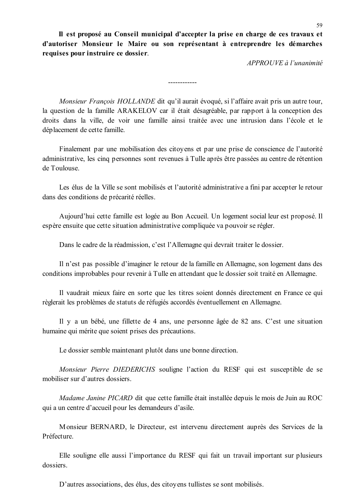Il est proposé au Conseil municipal d'accepter la prise en charge de ces travaux et d'autoriser Monsieur le Maire ou son représentant à entreprendre les démarches requises pour instruire ce dossier.

APPROUVE à l'unanimité

Monsieur François HOLLANDE dit qu'il aurait évoqué, si l'affaire avait pris un autre tour, la question de la famille ARAKELOV car il était désagréable, par rapport à la conception des droits dans la ville, de voir une famille ainsi traitée avec une intrusion dans l'école et le déplacement de cette famille.

------------

Finalement par une mobilisation des citoyens et par une prise de conscience de l'autorité administrative, les cinq personnes sont revenues à Tulle après être passées au centre de rétention de Toulouse

Les élus de la Ville se sont mobilisés et l'autorité administrative a fini par accepter le retour dans des conditions de précarité réelles.

Aujourd'hui cette famille est logée au Bon Accueil. Un logement social leur est proposé. Il espère ensuite que cette situation administrative compliquée va pouvoir se régler.

Dans le cadre de la réadmission, c'est l'Allemagne qui devrait traiter le dossier.

Il n'est pas possible d'imaginer le retour de la famille en Allemagne, son logement dans des conditions improbables pour revenir à Tulle en attendant que le dossier soit traité en Allemagne.

Il vaudrait mieux faire en sorte que les titres soient donnés directement en France ce qui règlerait les problèmes de statuts de réfugiés accordés éventuellement en Allemagne.

Il y a un bébé, une fillette de 4 ans, une personne âgée de 82 ans. C'est une situation humaine qui mérite que soient prises des précautions.

Le dossier semble maintenant plutôt dans une bonne direction.

Monsieur Pierre DIEDERICHS souligne l'action du RESF qui est susceptible de se mobiliser sur d'autres dossiers.

Madame Janine PICARD dit que cette famille était installée depuis le mois de Juin au ROC qui a un centre d'accueil pour les demandeurs d'asile.

Monsieur BERNARD, le Directeur, est intervenu directement auprès des Services de la Préfecture

Elle souligne elle aussi l'importance du RESF qui fait un travail important sur plusieurs dossiers.

D'autres associations, des élus, des citoyens tullistes se sont mobilisés.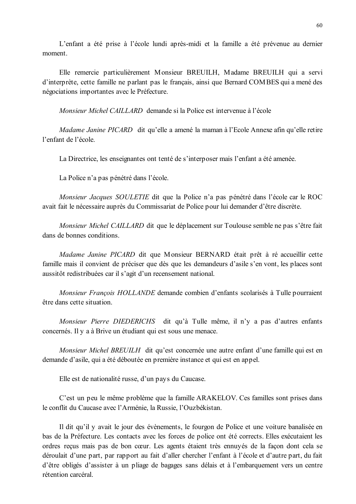L'enfant a été prise à l'école lundi après-midi et la famille a été prévenue au dernier moment.

Elle remercie particulièrement Monsieur BREUILH, Madame BREUILH qui a servi d'interprète, cette famille ne parlant pas le français, ainsi que Bernard COMBES qui a mené des négociations importantes avec le Préfecture.

Monsieur Michel CAILLARD demande si la Police est intervenue à l'école

Madame Janine PICARD dit qu'elle a amené la maman à l'Ecole Annexe afin qu'elle retire l'enfant de l'école.

La Directrice, les enseignantes ont tenté de s'interposer mais l'enfant a été amenée.

La Police n'a pas pénétré dans l'école.

Monsieur Jacques SOULETIE dit que la Police n'a pas pénétré dans l'école car le ROC avait fait le nécessaire auprès du Commissariat de Police pour lui demander d'être discrète.

Monsieur Michel CAILLARD dit que le déplacement sur Toulouse semble ne pas s'être fait dans de bonnes conditions

Madame Janine PICARD dit que Monsieur BERNARD était prêt à ré accueillir cette famille mais il convient de préciser que dès que les demandeurs d'asile s'en vont, les places sont aussitôt redistribuées car il s'agit d'un recensement national.

Monsieur François HOLLANDE demande combien d'enfants scolarisés à Tulle pourraient être dans cette situation.

Monsieur Pierre DIEDERICHS dit qu'à Tulle même, il n'y a pas d'autres enfants concernés. Il y a à Brive un étudiant qui est sous une menace.

Monsieur Michel BREUILH dit qu'est concernée une autre enfant d'une famille qui est en demande d'asile, qui a été déboutée en première instance et qui est en appel.

Elle est de nationalité russe, d'un pays du Caucase.

C'est un peu le même problème que la famille ARAKELOV. Ces familles sont prises dans le conflit du Caucase avec l'Arménie, la Russie, l'Ouzbékistan.

Il dit qu'il y avait le jour des évènements, le fourgon de Police et une voiture banalisée en bas de la Préfecture. Les contacts avec les forces de police ont été corrects. Elles exécutaient les ordres reçus mais pas de bon cœur. Les agents étaient très ennuyés de la façon dont cela se déroulait d'une part, par rapport au fait d'aller chercher l'enfant à l'école et d'autre part, du fait d'être obligés d'assister à un pliage de bagages sans délais et à l'embarquement vers un centre rétention carcéral